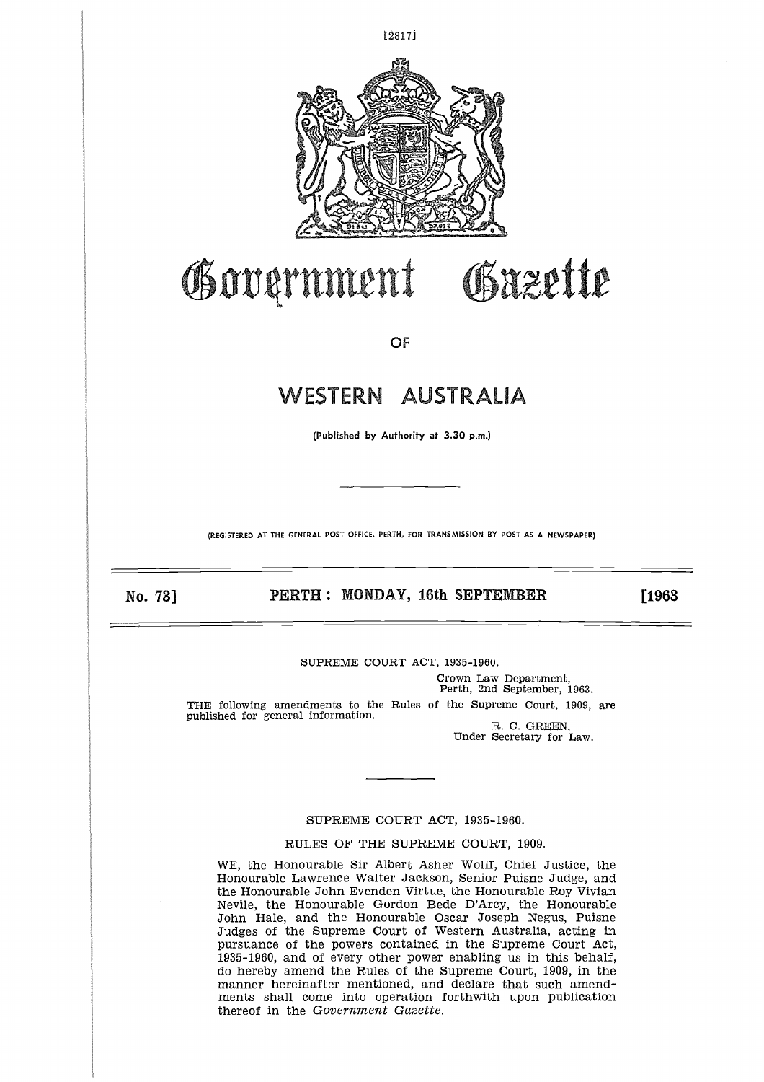

## Government

OF

# WESTERN AUSTRALIA WESTERN AUSTRALIA<br>
(Published by Authority at 3.30 p.m.)<br> **PERTH : MONDAY, 16th SEPTEMBER** [1963<br>
RO. 73] PERTH : MONDAY, 16th SEPTEMBER [1963<br>
SUPREME COURT ACT, 1935-1960.

(Published by Authority at 3.30 p.m.)

(REGISTERED AT **THE GENERAL POST OFFICE, PERTH, FOR TRANSMISSION BY POST** AS A NEWSPAPER)

#### SUPREME COURT ACT, 1935-1960.

Crown Law Department, Perth, 2nd September, 1963. THE following amendments to the Rules of the Supreme Court, 1909, are published for general information. R. C. GREEN,

Under Secretary for Law.

Greette

#### SUPREME COURT ACT, 1935-1960.

RULES OF THE SUPREME COURT, 1909.

WE, the Honourable Sir Albert Asher Wolff, Chief Justice, the Honourable Lawrence Walter Jackson, Senior Puisne Judge, and the Honourable John Evenden Virtue, the Honourable Roy Vivian Nevile, the Honourable Gordon Bede D'Arcy, the Honourable John Hale, and the Honourable Oscar Joseph Negus, Puisne Judges of the Supreme Court of Western Australia, acting in pursuance of the powers contained in the Supreme Court Act, 1935-1960, and of every other power enabling us in this behalf, do hereby amend the Rules of the Supreme Court, 1909, in the manner hereinafter mentioned, and declare that such amendments shall come into operation forthwith upon publication thereof in the *Government Gazette.*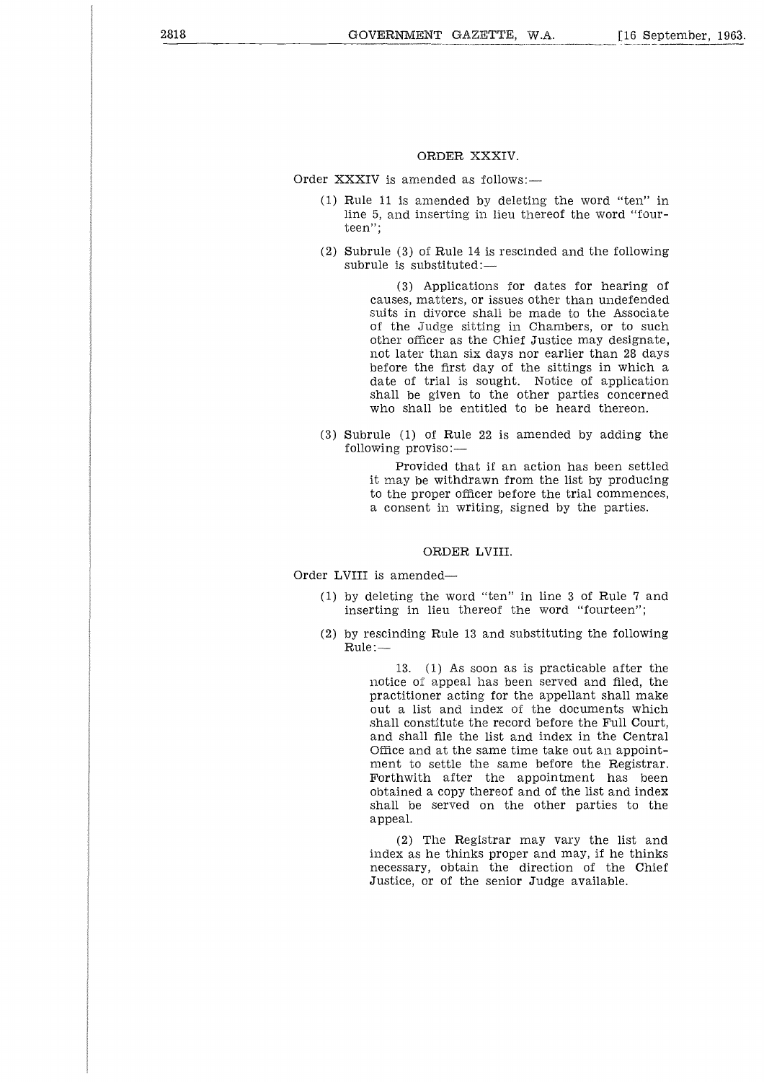#### ORDER XXXIV.

Order XXXIV is amended as follows:—

- (1) Rule 11 is amended by deleting the word "ten" in line 5, and inserting in lieu thereof the word "fourteen";
- (2) Subrule (3) of Rule 14 is rescinded and the following subrule is substituted:—

(3) Applications for dates for hearing of causes, matters, or issues other than undefended suits in divorce shall be made to the Associate of the Judge sitting in Chambers, or to such other officer as the Chief Justice may designate, not later than six days nor earlier than 28 days before the first day of the sittings in which a date of trial is sought. Notice of application shall be given to the other parties concerned who shall be entitled to be heard thereon.

(3) Subrule (1) of Rule 22 is amended by adding the following proviso:

> Provided that if an action has been settled it may be withdrawn from the list by producing to the proper officer before the trial commences, a consent in writing, signed by the parties.

#### ORDER LVIII.

#### Order LVIII is amended

- (1) by deleting the word "ten" in line 3 of Rule 7 and inserting in lieu thereof the word "fourteen";
- (2) by rescinding Rule 13 and substituting the following Rule:—

13. (1) As soon as is practicable after the notice of appeal has been served and filed, the practitioner acting for the appellant shall make out a list and index of the documents which shall constitute the record before the Full Court, and shall file the list and index in the Central Office and at the same time take out an appointment to settle the same before the Registrar. Forthwith after the appointment has been obtained a copy thereof and of the list and index shall be served on the other parties to the appeal.

(2) The Registrar may vary the list and index as he thinks proper and may, if he thinks necessary, obtain the direction of the Chief Justice, or of the senior Judge available.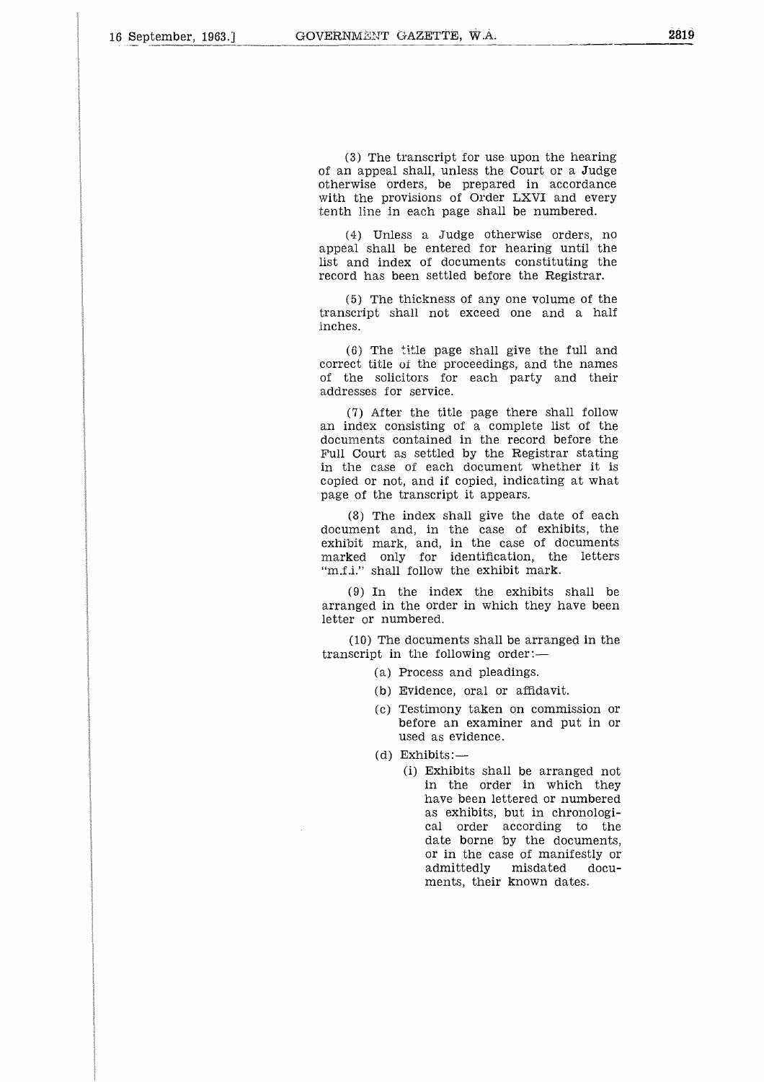(3) The transcript for use upon the hearing of an appeal shall, unless the Court or a Judge otherwise orders, be prepared in accordance with the provisions of Order LXVI and every tenth line in each page shall be numbered.

(4) Unless a Judge otherwise orders, no appeal shall be entered for hearing until the list and index of documents constituting the record has been settled before the Registrar.

(5) The thickness of any one volume of the transcript shall not exceed one and a half inches.

(6) The title page shall give the full and correct title of the proceedings, and the names of the solicitors for each party and their addresses for service.

(7) After the title page there shall follow an index consisting of a complete list of the documents contained in the record before the Full Court as settled by the Registrar stating in the case of each document whether it is copied or not, and if copied, indicating at what page of the transcript it appears.

(8) The index shall give the date of each document and, in the case of exhibits, the exhibit mark, and, in the case of documents marked only for identification, the letters "m.f.i." shall follow the exhibit mark.

(9) In the index the exhibits shall be arranged in the order in which they have been letter or numbered.

(10) The documents shall be arranged in the transcript in the following order:

- (a) Process and pleadings.
- (b) Evidence, oral or affidavit.
- (c) Testimony taken on commission or before an examiner and put in or used as evidence.
- (d) Exhibits:—
	- (i) Exhibits shall be arranged not in the order in which they have been lettered or numbered as exhibits, but in chronological order according to the date borne by the documents, or in the case of manifestly or admittedly misdated documents, their known dates.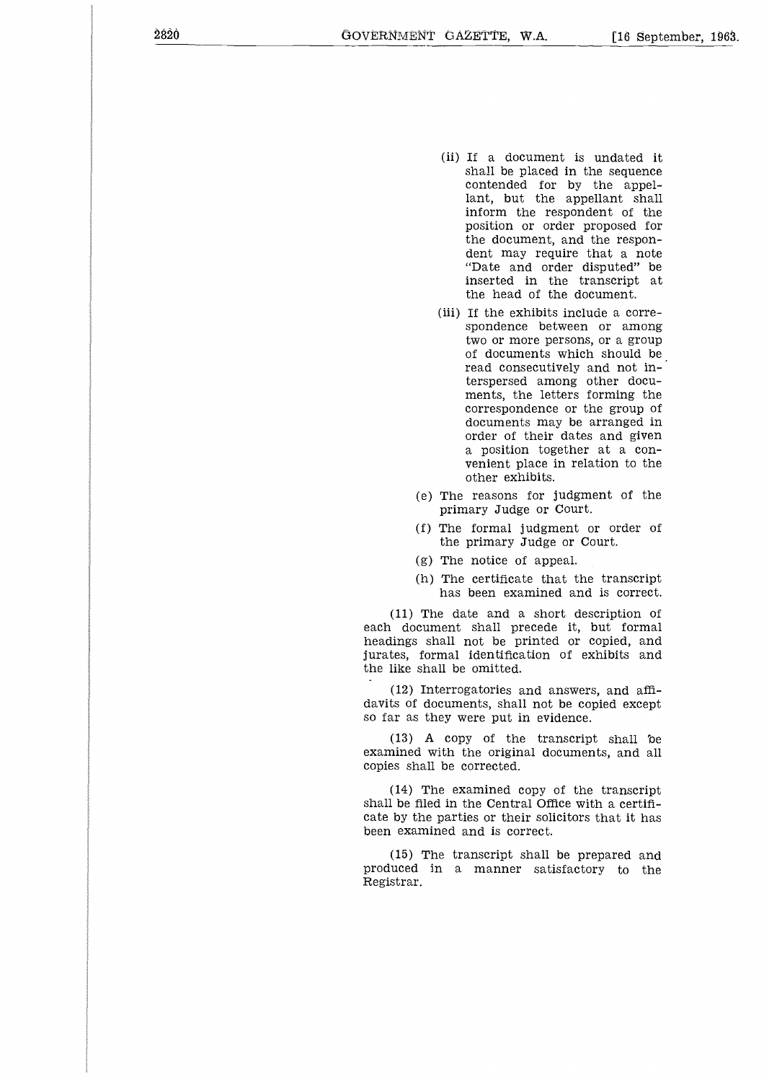- (ii) If a document is undated it shall be placed in the sequence contended for by the appellant, but the appellant shall inform the respondent of the position or order proposed for the document, and the respondent may require that a note "Date and order disputed" be inserted in the transcript at the head of the document.
- (iii) If the exhibits include a correspondence between or among two or more persons, or a group of documents which should be read consecutively and not interspersed among other documents, the letters forming the correspondence or the group of documents may be arranged in order of their dates and given a position together at a convenient place in relation to the other exhibits.
- (e) The reasons for judgment of the primary Judge or Court.
- (f) The formal judgment or order of the primary Judge or Court.
- (g) The notice of appeal.
- (h) The certificate that the transcript has been examined and is correct.

(11) The date and a short description of each document shall precede it, but formal headings shall not be printed or copied, and jurates, formal identification of exhibits and the like shall be omitted.

(12) Interrogatories and answers, and affidavits of documents, shall not be copied except so far as they were put in evidence.

(13) A copy of the transcript shall be examined with the original documents, and all copies shall be corrected.

(14) The examined copy of the transcript shall be filed in the Central Office with a certificate by the parties or their solicitors that it has been examined and is correct.

(15) The transcript shall be prepared and produced in a manner satisfactory to the Registrar.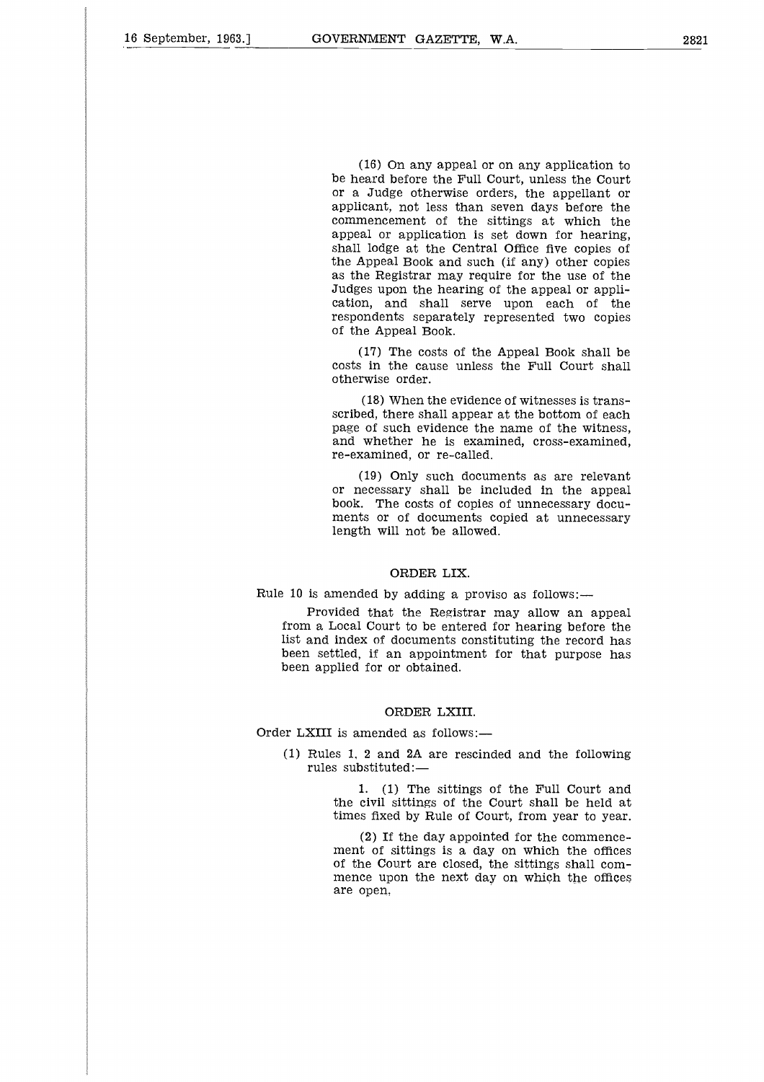(16) On any appeal or on any application to be heard before the Full Court, unless the Court or a Judge otherwise orders, the appellant or applicant, not less than seven days before the commencement of the sittings at which the appeal or application is set down for hearing, shall lodge at the Central Office five copies of the Appeal Book and such (if any) other copies as the Registrar may require for the use of the Judges upon the hearing of the appeal or application, and shall serve upon each of the respondents separately represented two copies of the Appeal Book.

(17) The costs of the Appeal Book shall be costs in the cause unless the Full Court shall otherwise order.

(18) When the evidence of witnesses is transscribed, there shall appear at the bottom of each page of such evidence the name of the witness, and whether he is examined, cross-examined, re-examined, or re-called.

(19) Only such documents as are relevant or necessary shall be included in the appeal book. The costs of copies of unnecessary documents or of documents copied at unnecessary length will not be allowed.

#### ORDER LIX.

#### Rule 10 is amended by adding a proviso as follows:

Provided that the Registrar may allow an appeal from a Local Court to be entered for hearing before the list and index of documents constituting the record has been settled, if an appointment for that purpose has been applied for or obtained.

#### ORDER LXIII.

Order LXIII is amended as follows:-

(1) Rules 1, 2 and 2A are rescinded and the following rules substituted:-

> 1. (1) The sittings of the Full Court and the civil sittings of the Court shall be held at times fixed by Rule of Court, from year to year.

> (2) If the day appointed for the commencement of sittings is a day on which the offices of the Court are closed, the sittings shall commence upon the next day on which the offices are open.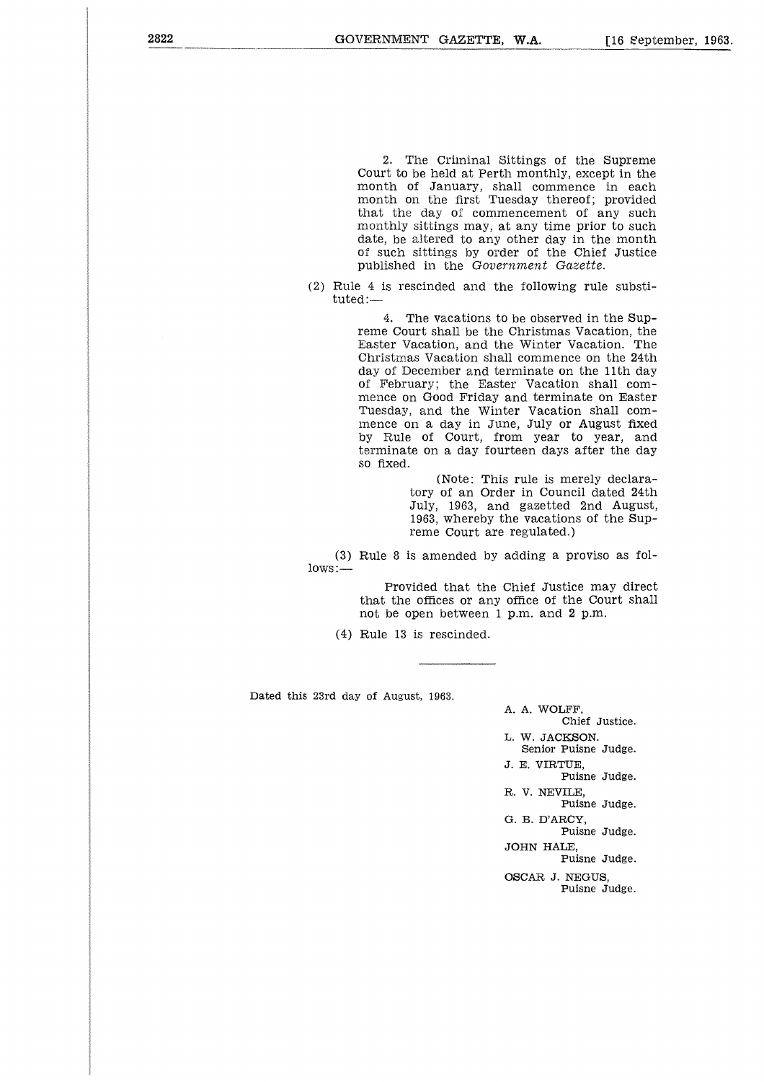2. The Criminal Sittings of the Supreme Court to be held at Perth monthly, except in the month of January, shall commence in each month on the first Tuesday thereof; provided that the day of commencement of any such monthly sittings may, at any time prior to such date, be altered to any other day in the month of such sittings by order of the Chief Justice published in the *Government Gazette.*

(2) Rule 4 is rescinded and the following rule substituted:—

> 4. The vacations to be observed in the Supreme Court shall be the Christmas Vacation, the Easter Vacation, and the Winter Vacation. The Christmas Vacation shall commence on the 24th day of December and terminate on the 11th day of February; the Easter Vacation shall commence on Good Friday and terminate on Easter Tuesday, and the Winter Vacation shall commence on a day in June, July or August fixed by Rule of Court, from year to year, and terminate on a day fourteen days after the day so fixed.

> > (Note: This rule is merely declaratory of an Order in Council dated 24th July, 1963, and gazetted 2nd August, 1963, whereby the vacations of the Supreme Court are regulated.)

(3) Rule 8 is amended by adding a proviso as follows:—

> Provided that the Chief Justice may direct that the offices or any office of the Court shall not be open between 1 p.m. and 2 p.m.

(4) Rule 13 is rescinded.

Dated this 23rd day of August, 1963,

A. A. WOLFF, Chief Justice. L. W. JACKSON. Senior Puisne Judge. J. E. VIRTUE, Puisne Judge. R. V. NEVILE, Puisne Judge. G. B. D'ARCY, Puisne Judge. JOHN HALE, Puisne Judge. OSCAR J. NEGUS, Puisne Judge.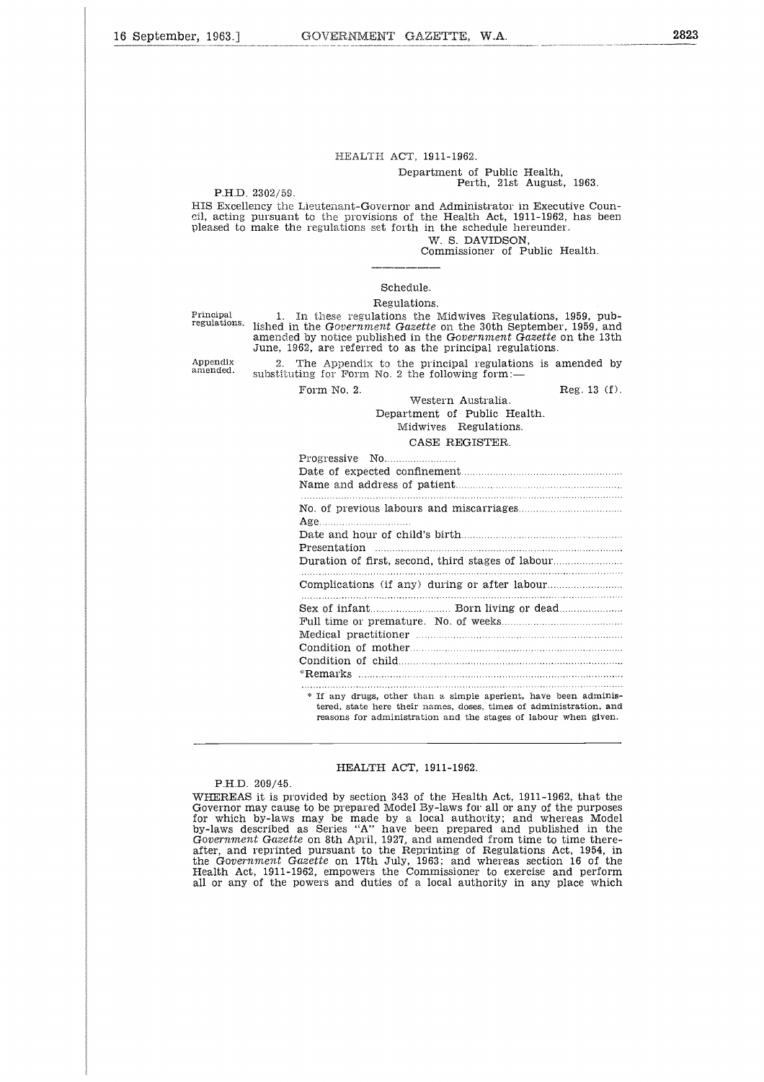### HEALTH ACT, 1911-1962.

#### Department of Public Health, Perth, 21st August, 1963.

P.H.D. 2302/59.

HIS Excellency the Lieutenant-Governor and Administrator in Executive Council, acting pursuant to the provisions of the Health Act, 1911-1962, has been pleased to make the regulations set forth in the schedule hereunder. W. S. DAVIDSON,

Commissioner of Public Health.

#### Schedule.

#### Regulations.

Appendix amended.

Principal 1. In these regulations the Midwives Regulations, 1959, pub-<br>regulations, lished in the Government Gazette on the 30th September, 1959, and lished in the *Government Gazette* on the 30th September, 1959, and amended by notice published in the *Government Gazette* on the 13th June, 1962, are referred to as the principal regulations. Fregulations set for the interestinct the schedule free the domestion of Public Health.<br>
The S. DAVIDSON,<br>
Schedule.<br>
Regulations.<br>
Schedule.<br>
Regulations.<br>
In these regulations the Midwives Regulations, 1959, pub-<br>
the Go

2. The Appendix to the principal regulations is amended by substituting for Form No. 2 the following form:

#### CASE REGISTER.

| Regulations.                                                                                                                                                                                                                                        |
|-----------------------------------------------------------------------------------------------------------------------------------------------------------------------------------------------------------------------------------------------------|
| In these regulations the Midwives Regulations, 1959, pub-<br>n the Gov <i>ernment Gazette</i> on the 30th September, 1959, and<br>d by notice published in the Government Gazette on the 13th<br>962, are referred to as the principal regulations. |
| The Appendix to the principal regulations is amended by<br>ting for Form No. 2 the following form: $-$                                                                                                                                              |
| Reg. 13(f).<br>Form No. 2.<br>Western Australia.<br>Department of Public Health.<br>Midwives Regulations.<br>CASE REGISTER.                                                                                                                         |
|                                                                                                                                                                                                                                                     |
|                                                                                                                                                                                                                                                     |
|                                                                                                                                                                                                                                                     |
|                                                                                                                                                                                                                                                     |
| * If any drugs, other than a simple aperient, have been adminis-<br>tered, state here their names, doses, times of administration, and<br>reasons for administration and the stages of labour when given                                            |

reasons for administration and the stages of labour when given.

#### HEALTH ACT, 1911-1962.

#### P.H.D. 209/45.

WHEREAS it is provided by section 343 of the Health Act, 1911-1962, that the Governor may cause to be prepared Model By-laws for all or any of the purposes for which by-laws may be made by a local authority; and whereas Model by-laws described as Series "A" have been prepared and published in the *Government Gazette* on 8th April, 1927, and amended from time to time thereafter, and reprinted pursuant to the Reprinting of Regulations Act, 1954, in the *Government Gazette* on 17th July, 1963; and whereas section 16 of the Health Act, 1911-1962, empowers the Commissioner to exercise and perform all or any of the powers and duties of a local authority in any place which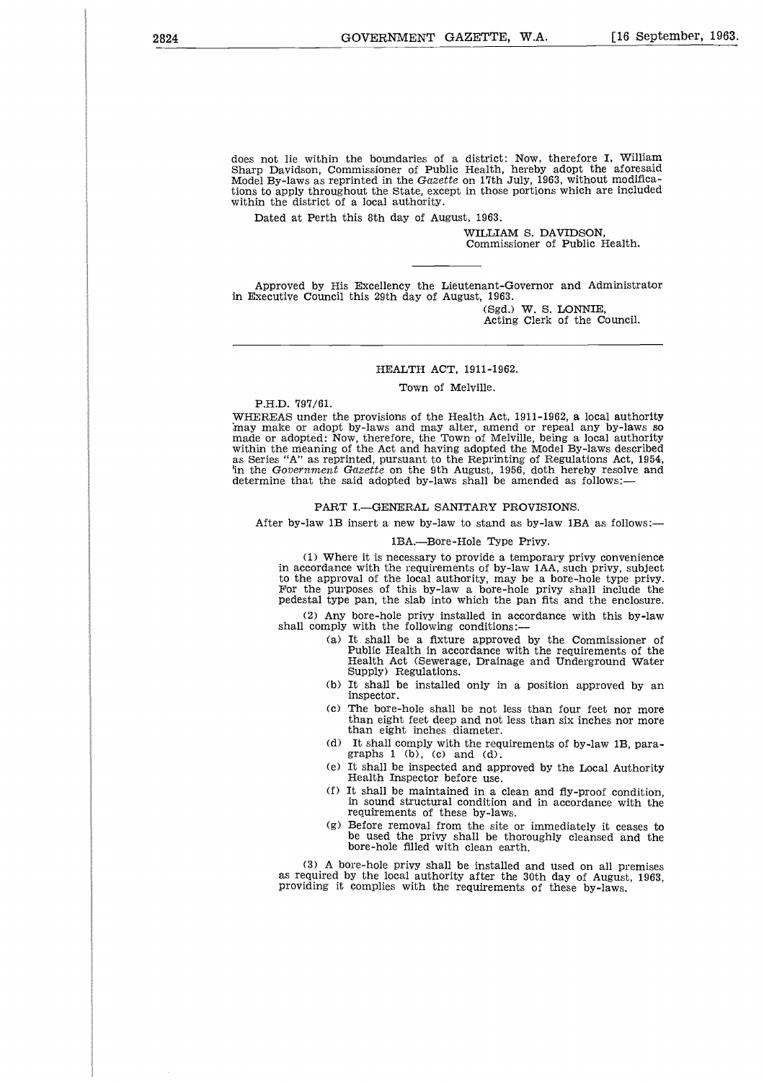does not lie within the boundaries of a district: Now, therefore I, William Sharp Davidson, Commissioner of Public Health, hereby adopt the aforesaid Model By-laws as reprinted in the *Gazette* on 17th July, 1963, without modifications to apply throughout the State, except in those portions which are included within the district of a local authority.

Dated at Perth this 8th day of August, 1963.

WILLIAM S. DAVIDSON, Commissioner of Public Health.

Approved by His Excellency the Lieutenant-Governor and Administrator in Executive Council this 29th day of August, 1963.

(Sgd.) W. S. LONNIE, Acting Clerk of the Council.

#### HEALTH ACT, 1911-1962.

Town of Melville.

P.H.D. 797/61.

WHEREAS under the provisions of the Health Act, 1911-1962, a local authority may make or adopt by-laws and may alter, amend or repeal any by-laws so made or adopted: Now, therefore, the Town of Melville, being a local authority within the meaning of the Act and having adopted the Model By-laws described as Series "A" as reprinted, pursuant to the Reprinting of Regulations Act, 1954, 'in the *Government Gazette* on the 9th August, 1956, doth hereby resolve and determine that the said adopted by-laws shall be amended as follows:

#### PART I.—GENERAL SANITARY PROVISIONS.

After by-law 1B insert a new by-law to stand as by-law 1BA as follows:—

#### 1BA.—Bore-Hole Type Privy.

(1) Where it is necessary to provide a temporary privy convenience in accordance with the requirements of by-law IAA, such privy, subject to the approval of the local authority, may be a bore-hole type privy. For the purposes of this by-law a bore-hole privy shall include the pedestal type pan, the slab into which the pan fits and the enclosure.

(2) Any bore-hole privy installed in accordance with this by-law shall comply with the following conditions:

- (a) It shall be a fixture approved by the Commissioner of Public Health in accordance with the requirements of the Health Act (Sewerage, Drainage and Underground Water Supply) Regulations.
- (b) It shall be installed only in a position approved by an inspector.
- (c) The bore-hole shall be not less than four feet nor more than eight feet deep and not less than six inches nor more than eight inches diameter.
- (d) It shall comply with the requirements of by-law 1B, paragraphs  $1$  (b), (c) and (d).
- (e) It shall be inspected and approved by the Local Authority Health Inspector before use.
- (f) It shall be maintained in a clean and fly-proof condition, in sound structural condition and in accordance with the requirements of these by-laws.
- (g) Before removal from the site or immediately it ceases to be used the privy shall be thoroughly cleansed and the bore-hole filled with clean earth.

(3) A bore-hole privy shall be installed and used on all premises as required by the local authority after the 30th day of August, 1963, providing it complies with the requirements of these by-laws.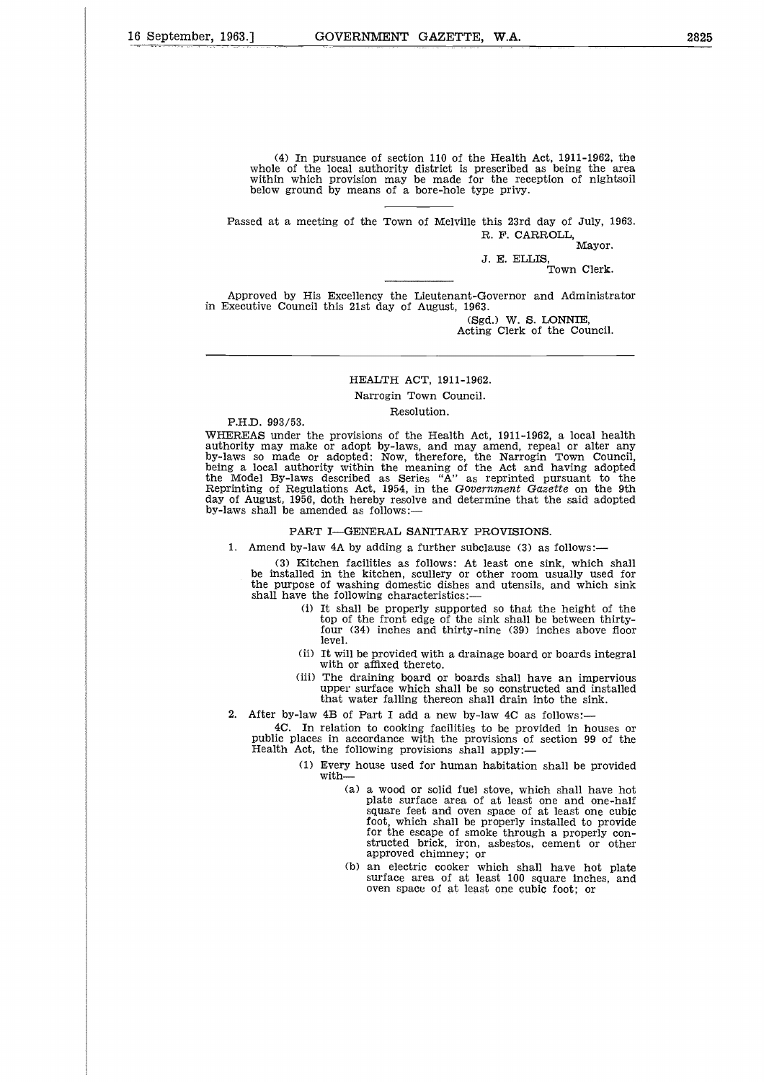(4) In pursuance of section 110 of the Health Act, 1911-1962, the whole of the local authority district is prescribed as being the area within which provision may be made for the reception of nightsoil below ground by means of a bore-hole type privy.

Passed at a meeting of the Town of Melville this 23rd day of July, 1963. R. F. CARROLL,

Mayor. J. E. ELLIS, Town Clerk.

Approved by His Excellency the Lieutenant-Governor and Administrator in Executive Council this 21st day of August, 1963.

> (Sgd.) W. S. LONNIE, Acting Clerk of the Council.

#### HEALTH ACT, 1911-1962. Narrogin Town Council.

Resolution.

P.H.D. 993/53.

WHEREAS under the provisions of the Health Act, 1911-1962, a local health authority may make or adopt by-laws, and may amend, repeal or alter any by-laws so made or adopted: Now, therefore, the Narrogin Town Council, being a local authority within the meaning of the Act and having adopted the Model By-laws described as Series "A" as reprinted pursuant to the Reprinting of Regulations Act, 1954, in the *Government Gazette* on the 9th day of August, 1956, doth hereby resolve and determine that the said adopted by-laws shall be amended as follows:—

#### PART I—GENERAL SANITARY PROVISIONS.

1. Amend by-law 4A by adding a further subclause (3) as follows:

(3) Kitchen facilities as follows: At least one sink, which shall be installed in the kitchen, scullery or other room usually used for the purpose of washing domestic dishes and utensils, and which sink shall have the following characteristics:—

- (i) It shall be properly supported so that the height of the top of the front edge of the sink shall be between thirtyfour (34) inches and thirty-nine (39) inches above floor level.
- (ii) It will be provided with a drainage board or boards integral with or affixed thereto.
- (iii) The draining board or boards shall have an impervious upper surface which shall be so constructed and installed that water falling thereon shall drain into the sink.
- 2. After by-law 4B of Part I add a new by-law 4C as follows:-

4C. In relation to cooking facilities to be provided in houses or public places in accordance with the provisions of section 99 of the Health Act, the following provisions shall apply:

- (1) Every house used for human habitation shall be provided with
	- (a) a wood or solid fuel stove, which shall have hot plate surface area of at least one and one-half square feet and oven space of at least one cubic foot, which shall be properly installed to provide for the escape of smoke through a properly constructed brick, iron, asbestos, cement or other approved chimney; or
	- (b) an electric cooker which shall have hot plate surface area of at least 100 square inches, and oven space of at least one cubic foot; or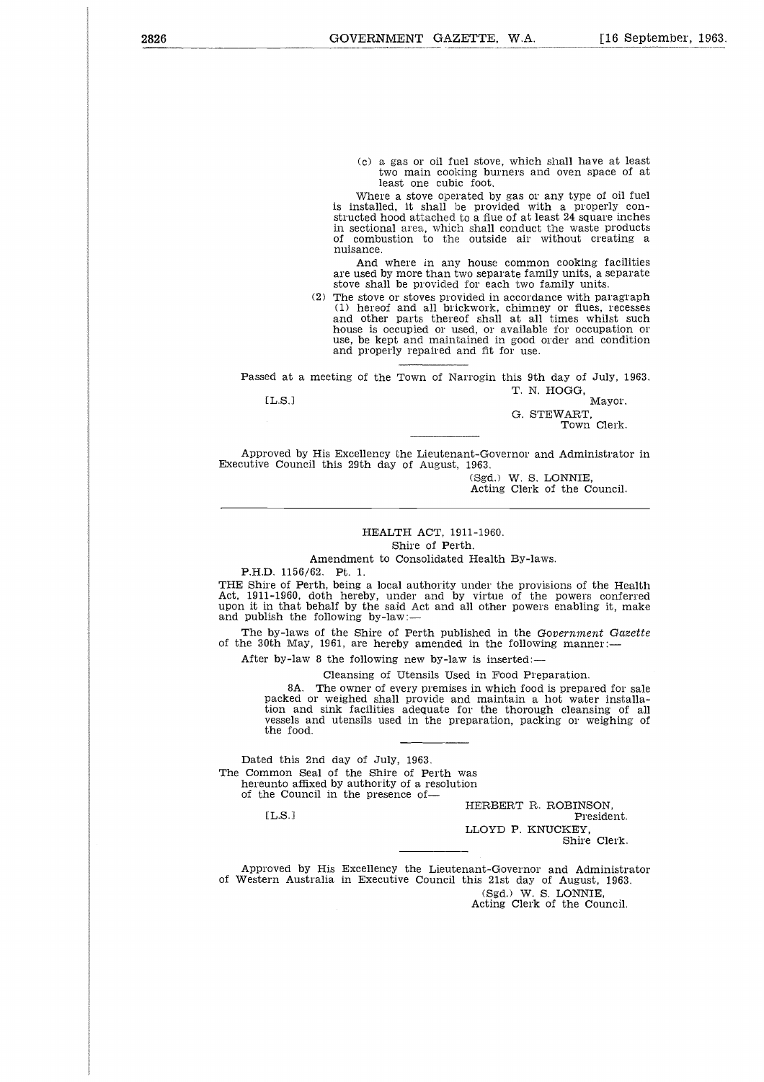(c) a gas or oil fuel stove, which shall have at least two main cooking burners and oven space of at least one cubic foot.

Where a stove operated by gas or any type of oil fuel is installed, it shall be provided with a properly constructed hood attached to a flue of at least 24 square inches in sectional area, which shall conduct the waste products of combustion to the outside air without creating a nuisance.

And where in any house common cooking facilities are used by more than two separate family units, a separate stove shall be provided for each two family units.

(2) The stove or stoves provided in accordance with paragraph (1) hereof and all brickwork, chimney or flues, recesses and other parts thereof shall at all times whilst such house is occupied or used, or available for occupation or use, be kept and maintained in good order and condition and properly repaired and fit for use. or compussion to the busside and whinout creating<br>
musance.<br>
And where in any house common cooking facil<br>
are used by more than two separate family units, a sepa<br>
stove shall be provided for each two family units.<br>
(2) The

Passed at a meeting of the Town of Narrogin this 9th day of July, 1963. T. N. HOGG,

G. STEWART, Town Clerk.

Approved by His Excellency the Lieutenant-Governor and Administrator in Executive Council this 29th day of August, 1963.

(Sgd.) W. S. LONNIE, Acting Clerk of the Council.

#### HEALTH ACT, 1911-1960.

Shire of Perth.

Amendment to Consolidated Health By-laws.

P.H.D. 1156/62. Pt. 1.

THE Shire of Perth, being a local authority under the provisions of the Health Act, 1911-1960, doth hereby, under and by virtue of the powers conferred upon it in that behalf by the said Act and all other powers enabling it, make and publish the following by-law:

The by-laws of the Shire of Perth published in the *Government Gazette* of the 30th May, 1961, are hereby amended in the following manner:

After by-law 8 the following new by-law is inserted:—

Cleansing of Utensils Used in Food Preparation.

8A. The owner of every premises in which food is prepared for sale packed or weighed shall provide and maintain a hot water installation and sink facilities adequate for the thorough cleansing of all vessels and utensils used in the preparation, packing or weighing of the food. thy-la<br>
8A<br>
packed<br>
bion a<br>
sunto a<br>
d this<br>
d this<br>
d this<br>
could a<br>
Could L.S.<br>
l<br>
L.S.<br>
l

Dated this 2nd day of July, 1963. The Common Seal of the Shire of Perth was hereunto affixed by authority of a resolution of the Council in the presence of-

 $[L.S.]$ 

HERBERT R. ROBINSON,

President. LLOYD P. KNUCKEY,

Shire Clerk.

Approved by His Excellency the Lieutenant-Governor and Administrator of Western Australia in Executive Council this 21st day of August, 1963. (Sgd.) W. S. LONNIE, Acting Clerk of the Council.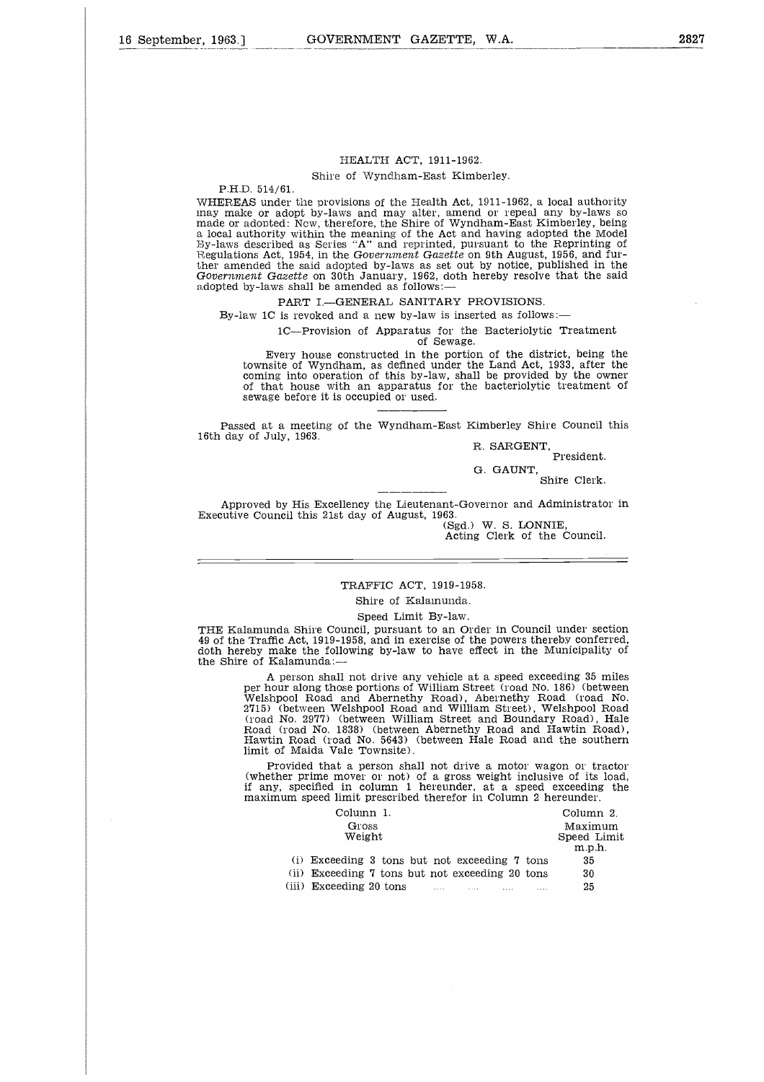#### HEALTH ACT, 1911-1962. Shire of Wyndham-East Kimberley.

P.H.D. 514/61.

WHEREAS under the provisions of the Health Act, 1911-1962, a local authority may make or adopt by-laws and may alter, amend or repeal any by-laws so made or adopted: Now, therefore, the Shire of Wyndham-East Kimberley, being a local authority within the meaning of the Act and having adopted the Model Ely-laws described as Series "A" and reprinted, pursuant to the Reprinting of Regulations Act, 1954, in the *Government Gazette* on 9th August, 1956, and further amended the said adopted by-laws as set out by notice, published in the *Government Gazette on 30th January*, 48 Set out by hottle, published in the said adopted by lowe that the said adopted by-laws shall be amended as follows:

#### PART I.—GENERAL SANITARY PROVISIONS.

By-law 1C is revoked and a new by-law is inserted as follows: $-$ 

1C—Provision of Apparatus for the Bacteriolytic Treatment

of Sewage.

Every house constructed in the portion of the district, being the townsite of Wyndham, as defined under the Land Act, 1933, after the coming into operation of this by-law, shall be provided by the owner of that house with an apparatus for the bacteriolytic treatment of sewage before it is occupied or used.

Passed at a meeting of the Wyndham-East Kimberley Shire Council this 16th day of July, 1963.

R. SARGENT, President.

G. GAUNT,

Shire Clerk.

Approved by His Excellency the Lieutenant-Governor and Administrator in Executive Council this 21st day of August, 1963.

(Sgd.) W. S. LONNIE, Acting Clerk of the Council.

#### TRAFFIC ACT, 1919-1958.

Shire of Kalamunda.

Speed Limit By-law.

THE Kalamunda Shire Council, pursuant to an Order in Council under section 49 of the Traffic Act, 1919-1958, and in exercise of the powers thereby conferred, doth hereby make the following by-law to have effect in the Municipality of the Shire of Kalamunda:—

A person shall not drive any vehicle at a speed exceeding 35 miles per hour along those portions of William Street (road No. 186) (between Welshpool Road and Abernethy Road), Abernethy Road (road No. 2715) (between Welshpool Road and William Street), Welshpool Road (road No. 2977) (between William Street and Boundary Road), Hale Road (road No. 1838) (between Abernethy Road and Hawtin Road), Hawtin Road (road No. 5643) (between Hale Road and the southern limit of Maida Vale Townsite). The Muslim Speed Limit Column 1.<br>
Column 1.<br>
Column 2.<br>
Column 2.<br>
Column 2.<br>
Column 2.<br>
Column 2.<br>
Column 2.<br>
Column 2.<br>
Column 2.<br>
Column 2.<br>
Column 2.<br>
Column 2.<br>
Column 2.<br>
Column 2.<br>
Column 2.<br>
Column 2.<br>
Column 2.<br>
C not drive any vehicle at a speed exceeding 35 mil<br>
e portions of William Street (road No. 186) (between<br>
md Abernethy Road), Abernethy Road (road N<br>
shpool Road and William Street), Welshpool Road<br>
etween William Street an not drive any venicle at a speed exceeding so mile<br>e portions of William Street (road No. 186) (between<br>ind Abernethy Road), Abernethy Road (road No.<br>Ishpool Road and William Street), Welshpool Road<br>extween William Street

Provided that a person shall not drive a motor wagon or tractor (whether prime mover or not) of a gross weight inclusive of its load, if any, specified in column 1 hereunder, at a speed exceeding the maximum speed limit prescribed therefor in Column 2 hereunder.

| of hour and monique, hour, monique, recall down no<br>etween Welshpool Road and William Street). Welshpool Road<br>o. 2977) (between William Street and Boundary Road). Hal<br>oad No. 1838) (between Abernethy Road and Hawtin Road)<br>Road (road No. 5643) (between Hale Road and the southern<br>Maida Vale Townsite). |                                  |
|----------------------------------------------------------------------------------------------------------------------------------------------------------------------------------------------------------------------------------------------------------------------------------------------------------------------------|----------------------------------|
| vided that a person shall not drive a motor wagon or tracto:<br>r prime mover or not) of a gross weight inclusive of its load<br>specified in column 1 hereunder, at a speed exceeding the<br>m speed limit prescribed therefor in Column 2 hereunder.                                                                     |                                  |
| Column 1.                                                                                                                                                                                                                                                                                                                  | Column 2.                        |
| Gross<br>Weight                                                                                                                                                                                                                                                                                                            | Maximum<br>Speed Limit<br>m.p.h. |
| (i) Exceeding 3 tons but not exceeding 7 tons                                                                                                                                                                                                                                                                              | 35                               |
| (ii) Exceeding 7 tons but not exceeding 20 tons                                                                                                                                                                                                                                                                            | 30                               |
| (iii) Exceeding 20 tons                                                                                                                                                                                                                                                                                                    | 25                               |
|                                                                                                                                                                                                                                                                                                                            |                                  |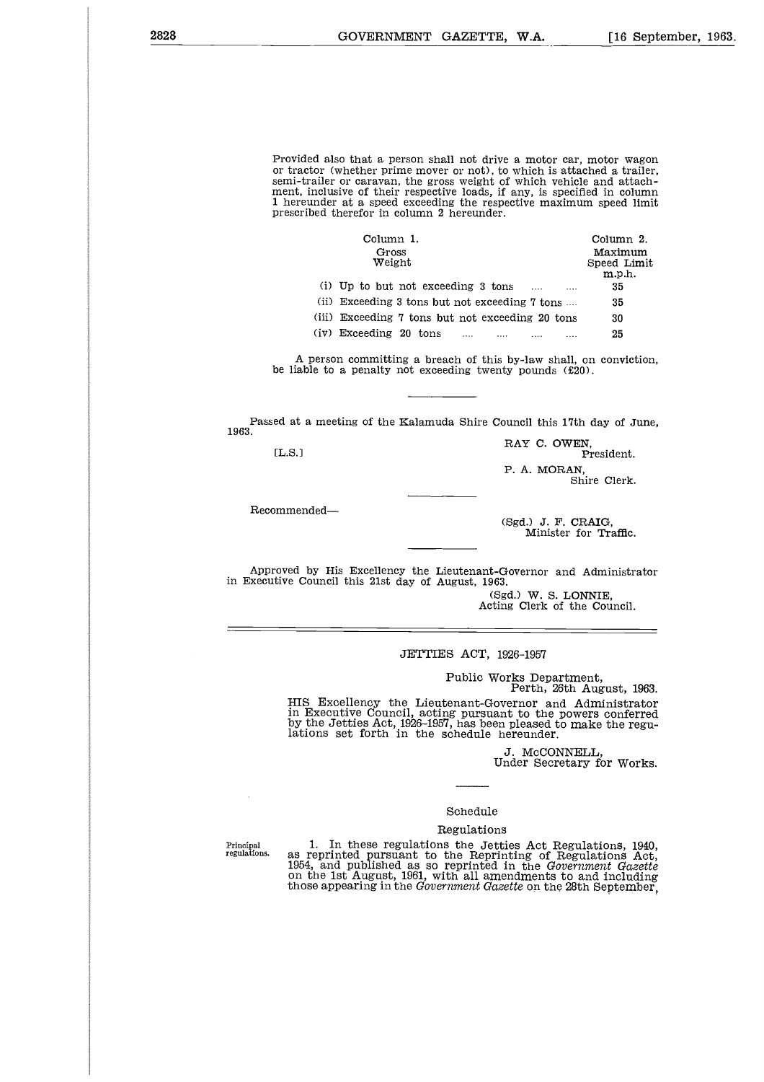Provided also that a person shall not drive a motor car, motor wagon or tractor (whether prime mover or not), to which is attached a trailer semi-trailer or caravan, the gross weight of which vehicle and attachment, inclusive of their respective loads, if any, is specified in column 1 hereunder at a speed exceeding the respective maximum speed limit prescribed therefor in column 2 hereunder. at a person shall not drive a motor car, motor wager<br>
interprime mover or not), to which is attached a trail<br>
interprecise loads, if any, is specified in colum<br>
is speed exceeding the respective maximum speed lim<br>
or in co

| d also that a person shall not drive a motor car, motor wago:                                                                                                                                                                                                                                                |                                  |
|--------------------------------------------------------------------------------------------------------------------------------------------------------------------------------------------------------------------------------------------------------------------------------------------------------------|----------------------------------|
| or (whether prime mover or not), to which is attached a trailer<br>iller or caravan, the gross weight of which vehicle and attach<br>iclusive of their respective loads, if any, is specified in columi<br>nder at a speed exceeding the respective maximum speed limi<br>ed therefor in column 2 hereunder. |                                  |
| Column 1.                                                                                                                                                                                                                                                                                                    | Column 2.                        |
| Gross<br>Weight                                                                                                                                                                                                                                                                                              | Maximum<br>Speed Limit<br>m.p.h. |
| (i) Up to but not exceeding 3 tons                                                                                                                                                                                                                                                                           | 35                               |
| (ii) Exceeding 3 tons but not exceeding 7 tons                                                                                                                                                                                                                                                               | 35                               |
| (iii) Exceeding 7 tons but not exceeding 20 tons                                                                                                                                                                                                                                                             | 30                               |
| (iv) Exceeding 20 tons                                                                                                                                                                                                                                                                                       | 25                               |
|                                                                                                                                                                                                                                                                                                              |                                  |

A person committing a breach of this by-law shall, on conviction, be liable to a penalty not exceeding twenty pounds (£20). A<br>pe liab<br>ed at a<br>[L.S.]

Passed at a meeting of the Kalamuda Shire Council this 17th day of June, 1963.

 $[**L.S.**]$ 

Recommended

RAY C. OWEN, President.

P. A. MORAN,

Shire Clerk.

(Sgd.) J. F. CRAIG, Minister for Traffic.

Approved by His Excellency the Lieutenant-Governor and Administrator in Executive Council this 21st day of August, 1963.

(Sgd.) W. S. LONNIE, Acting Clerk of the Council.

#### JETTIES ACT, 1926-1957

Public Works Department, Perth, 26th August, 1963.

HIS Excellency the Lieutenant-Governor and Administrator in Executive Council, acting pursuant to the powers conferred by the Jetties Act, 1926-1957, has been pleased to make the regu-lations set forth in the schedule hereunder.

> J. McCONNELL, Under Secretary for Works.

#### Schedule

#### Regulations

Principal regulations.

1. In these regulations the Jetties Act Regulations, 1940, as reprinted pursuant to the Reprinting of Regulations Act, 1954, and published as so reprinted in the *Government Gazette* on the 1st August, 1961, with all amendments to and including those appearing in the *Government Gazette* on the 28th September,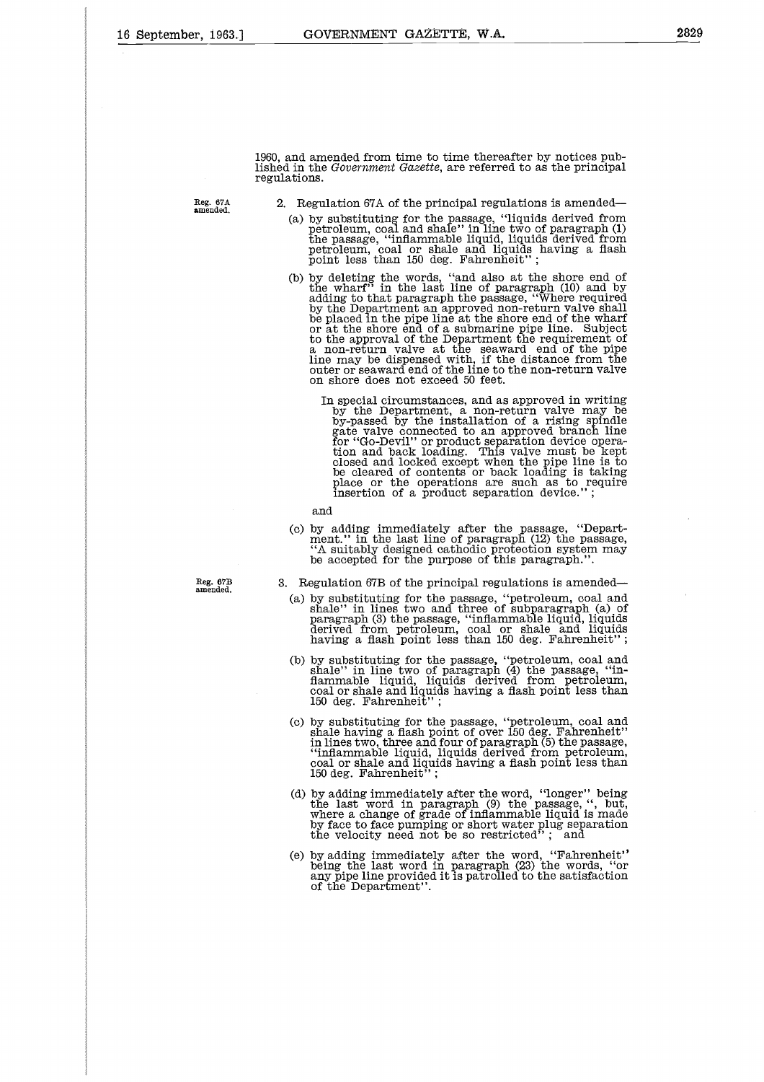Reg. 67A amended.

1960, and amended from time to time thereafter by notices published in the *Government Gazette*, are referred to as the principal regulations.

2. Regulation 67A of the principal regulations is amended

- (a) by substituting for the passage, "liquids derived from petroleum, coal and shale" in line two of paragraph (1) the passage, "inflammable liquid, liquids derived from petroleum, coal or shale and liquids having a flash point less than 150 deg. Fahrenheit" ;
- (b) by deleting the words, "and also at the shore end of the wharf" in the last line of paragraph  $(10)$  and by adding to that paragraph the passage, "Where required by the Department an approved non-return valve shall be to the approval of the Department the requirement of a non-return valve at the seaward end of the pipe line may be dispensed with, if the distance from the outer or seaward end of the line to the non-return valve on shore does not exceed 50 feet.
	- In special circumstances, and as approved in writing by the Department, a non-return valve may be by-passed by the installation of a rising spindle gate valve connected to an approved branch line<br>for "Go-Devil" or product separation device opera-<br>tion and back loading. This valve must be kept<br>closed and locked except when the pipe line is to<br>be cleared of contents or

and

(c) by adding immediately after the passage, "Depart-ment." in the last line of paragraph (12) the passage, "A suitably designed cathodic protection system may be accepted for the purpose of this paragraph.".

**Reg. 67B amended.**

- 3. Regulation 67B of the principal regulations is amended
	- (a) by substituting for the passage, "petroleum, coal and shale" in lines two and three of subparagraph (a) of paragraph (3) the passage, "inflammable liquid, liquids derived from petroleum, coal or shale and liquids having a flash point less than 150 deg. Fahrenheit" ;
	- (b) by substituting for the passage, "petroleum, coal and shale" in line two of paragraph  $(4)$  the passage, "in-<br>flammable liquid, liquids derived from petroleum,<br>coal or shale and liquids having a flash point less than<br>
	- (c) by substituting for the passage, "petroleum, coal and<br>shale having a flash point of over 150 deg. Fahrenheit"<br>in lines two, three and four of paragraph (5) the passage,<br>"inflammable liquid, liquids derived from petrole 150 deg. Fahrenheit'
	- (d) by adding immediately after the word, "longer" being<br>the last word in paragraph  $(9)$  the passage, ", but,<br>where a change of grade of inflammable liquid is made<br>by face to face pumping or short water plug separation<br>t
	- (e) by adding immediately after the word, "Fahrenheit' being the last word in paragraph (23) the words, "or any pipe line provided it is patrolled to the satisfaction of the Department".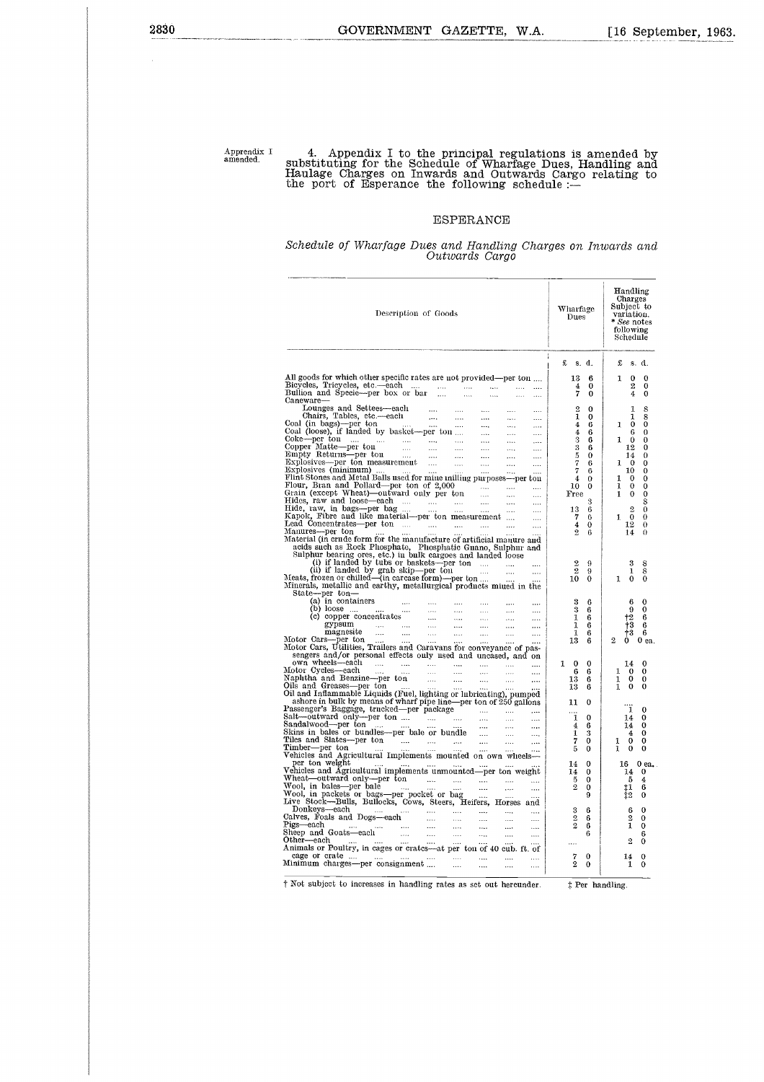Apprendix I<br>amended.

## Apprendix I 4. Appendix I to the principal regulations is amended by<br>substituting for the Schedule of Wharfage Dues, Handling and<br>Haulage Charges on Inwards and Outwards Cargo relating to<br>the port of Esperance the followin

#### ESPERANCE

#### *Schedule of Wharfage Dues and Handling Charges on Inwards and Outwards Cargo*

| Description of Goods                                                                                                                                                                                                                                                                                                                                                                                                                                                                                                                                                                                                      | Wharfage<br>Dues                             | Handling<br>Charges<br>Subject to<br>variation.<br>* See notes<br>following<br>Schedule |
|---------------------------------------------------------------------------------------------------------------------------------------------------------------------------------------------------------------------------------------------------------------------------------------------------------------------------------------------------------------------------------------------------------------------------------------------------------------------------------------------------------------------------------------------------------------------------------------------------------------------------|----------------------------------------------|-----------------------------------------------------------------------------------------|
|                                                                                                                                                                                                                                                                                                                                                                                                                                                                                                                                                                                                                           | £s.d.                                        | £<br>s. d.                                                                              |
| All goods for which other specific rates are not provided—per ton                                                                                                                                                                                                                                                                                                                                                                                                                                                                                                                                                         | 13<br>6                                      | 0<br>1<br>0                                                                             |
| Bullion and Specie—per box or bar<br>$\cdots$<br>$\cdots$                                                                                                                                                                                                                                                                                                                                                                                                                                                                                                                                                                 | 4<br>0<br>7<br>0                             | $\overline{2}$<br>0<br>4<br>0                                                           |
| $\ldots$<br>$\cdots$<br>Caneware-                                                                                                                                                                                                                                                                                                                                                                                                                                                                                                                                                                                         |                                              |                                                                                         |
| Lounges and Settees-each<br>$\cdots$<br>$\cdots$<br>$\cdots$<br>$\cdots$<br>$\cdots$<br>$\cdots$<br>$\ldots$<br>$\cdots$                                                                                                                                                                                                                                                                                                                                                                                                                                                                                                  | $\overline{2}$<br>$\mathbf 0$<br>1<br>0      | 1<br>8<br>1<br>8                                                                        |
| Chairs, Tables, etc.--each<br>Coal (in bags)--per ton<br>$\cdots$<br>$\cdots$<br>$\cdots$                                                                                                                                                                                                                                                                                                                                                                                                                                                                                                                                 | 4<br>6                                       | $\bf{0}$<br>0<br>1                                                                      |
| Coal (loose), if landed by basket-per ton<br>$\ddotsc$<br>$\cdots$<br>$\cdots$<br>$\cdots$<br>$\cdots$                                                                                                                                                                                                                                                                                                                                                                                                                                                                                                                    | 4<br>6<br>3<br>6                             | 6<br>$\Omega$<br>1<br>0<br>0                                                            |
| Cohe-per ton<br>Copper Matte-per ton<br>Copper Matte-per ton<br>Empty Returns-per ton<br>Explosives -per ton measurement<br>Explosives (minimum)<br>Explosives (minimum)<br>Construction of the property of the property of the property<br>Ex<br>$\cdots$<br>$\cdots$<br>$\cdots$<br>$\cdots$                                                                                                                                                                                                                                                                                                                            | 3<br>6                                       | 12<br>0                                                                                 |
| $\cdots$<br>                                                                                                                                                                                                                                                                                                                                                                                                                                                                                                                                                                                                              | $\frac{5}{7}$<br>$\Omega$<br>6               | 14<br>$\theta$<br>1<br>0<br>0                                                           |
| $\cdots$<br>$\cdots$<br>$\cdots$                                                                                                                                                                                                                                                                                                                                                                                                                                                                                                                                                                                          | 7<br>6                                       | 10<br>0                                                                                 |
| Flint Stones and Metal Balls used for mine milling purposes—per tou                                                                                                                                                                                                                                                                                                                                                                                                                                                                                                                                                       | 4<br>$\Omega$<br>10                          | 1<br>0<br>0<br>$\bf{0}$<br>1                                                            |
| <b>ALCOHOL</b><br>$\cdots$<br>                                                                                                                                                                                                                                                                                                                                                                                                                                                                                                                                                                                            | 0<br>Free                                    | 0<br>$\bf{0}$<br>1<br>0                                                                 |
| $\ldots$<br>                                                                                                                                                                                                                                                                                                                                                                                                                                                                                                                                                                                                              | 3                                            | S                                                                                       |
| $\cdots$<br>$\cdots$<br>Kapok, Fibre and like material-per ton measurement<br>$\cdots$                                                                                                                                                                                                                                                                                                                                                                                                                                                                                                                                    | 13<br>6<br>7<br>6                            | $\mathbf{2}$<br>0<br>$\Omega$<br>$\Omega$<br>1                                          |
| Lead Concentrates-per ton<br>$\cdots$<br>                                                                                                                                                                                                                                                                                                                                                                                                                                                                                                                                                                                 | 4<br>0                                       | 12<br>$\bf{0}$                                                                          |
| Manures—per ton<br>$\cdots$<br>Material (in crude form for the manufacture of artificial manure and                                                                                                                                                                                                                                                                                                                                                                                                                                                                                                                       | $\overline{2}$<br>6                          | 14<br>$\Omega$                                                                          |
| acids such as Rock Phosphate, Phosphatic Guano, Sulphur and                                                                                                                                                                                                                                                                                                                                                                                                                                                                                                                                                               |                                              |                                                                                         |
| sulphur bearing ores, etc.) in bulk cargoes and landed loose (i) if landed by tubs or baskets—per ton                                                                                                                                                                                                                                                                                                                                                                                                                                                                                                                     | $\overline{2}$<br>9                          | 3<br>8                                                                                  |
| Meats, frozen or chilled (in carcase form) per ton<br>$\cdots$<br>$\cdots$                                                                                                                                                                                                                                                                                                                                                                                                                                                                                                                                                | $\overline{2}$<br>9                          | $\bar{8}$<br>1                                                                          |
| Minerals, metallic and earthy, metallurgical products miued in the                                                                                                                                                                                                                                                                                                                                                                                                                                                                                                                                                        | 10<br>$\Omega$                               | $\theta$<br>$\mathbf{1}$<br>0                                                           |
| State-per ton-                                                                                                                                                                                                                                                                                                                                                                                                                                                                                                                                                                                                            |                                              |                                                                                         |
| $\cdots$<br><br>$\cdots$                                                                                                                                                                                                                                                                                                                                                                                                                                                                                                                                                                                                  | 2<br>ĥ<br>3<br>6                             | 6<br>o<br>9<br>0                                                                        |
| $\begin{array}{ll} \displaystyle \frac{\partial \mathbf{u}}{\partial \mathbf{u}} & \displaystyle \frac{\partial \mathbf{u}}{\partial \mathbf{u}}\\ \displaystyle \frac{\partial \mathbf{u}}{\partial \mathbf{u}} & \displaystyle \frac{\partial \mathbf{u}}{\partial \mathbf{u}} \end{array}$<br>$\cdots$<br>$\cdots$<br>$\cdots$                                                                                                                                                                                                                                                                                         | 1<br>6                                       | ${12}$<br>6                                                                             |
| $\cdots$<br>                                                                                                                                                                                                                                                                                                                                                                                                                                                                                                                                                                                                              | 1<br>6<br>1<br>6                             | $\ddagger\bar{3}$<br>6<br>†3<br>6                                                       |
| $\begin{array}{lllllllll} \text{ls} & \text{in} & \text{non--}\\ \text{a) in containers} & \text{} & \text{}\\ \text{(b) loose} & \text{} & \text{}\\ \text{(c) copper concentrations} & \text{}\\ \text{(c) copper concentrations} & \text{}\\ & \text{}\\ & \text{}\\ & \text{}\\ & \text{}\\ & \text{}\\ & \text{}\\ & \text{}\\ & \text{}\\ & \text{}\\ & \text{}\\ & \text{}\\ & \text{}\\ & \text{}\\ & \text{}\\ & \text{}\\ & \text{}\\ & \text{}\\ & \text{}\\ & \text{}\\ & \text{}\\ & \text{$<br>$\sim$ $\frac{1}{100}$<br>$\sim$<br>$\sim$ 0.00<br>$\cdots$<br>$\cdots$<br>Motor Cars---per ton<br>$\ddotsc$ | 13<br>6                                      | $\mathbf{2}$<br>0 ea.<br>0                                                              |
| Motor Cars, Utilities, Trailers and Caravans for conveyance of pas-<br>sengers and/or personal effects only used and uncased, and on                                                                                                                                                                                                                                                                                                                                                                                                                                                                                      |                                              |                                                                                         |
| own wheels—each<br>Motor Cycles—each<br>المتداد المتداد الممدد المتداد المتداد المتدا<br>$\cdots$                                                                                                                                                                                                                                                                                                                                                                                                                                                                                                                         | $\bf{0}$<br>1<br>$\Omega$                    | 14<br>0                                                                                 |
| $\cdots$<br>$\cdots$<br>$\cdots$<br>$\cdots$<br>$\cdots$<br>$\cdots$<br>$\cdots$<br>Naphtha and Benzine-per ton                                                                                                                                                                                                                                                                                                                                                                                                                                                                                                           | 6<br>6                                       | 1<br>0<br>0<br>1<br>0                                                                   |
| $\cdots$<br>$\cdots$<br>$\ldots$<br>$\cdots$<br>$\cdots$<br>Oils and Greases-per ton                                                                                                                                                                                                                                                                                                                                                                                                                                                                                                                                      | 13<br>6<br>13<br>6                           | 0<br>0<br>1<br>0                                                                        |
| Oil and Inflammable Liquids (Fuel, lighting or lubricating), pumped                                                                                                                                                                                                                                                                                                                                                                                                                                                                                                                                                       |                                              |                                                                                         |
| ashore in bulk by means of wharf pipe line-per ton of 250 gallons<br>$\sim$ 1000 $^{\circ}$                                                                                                                                                                                                                                                                                                                                                                                                                                                                                                                               | 11<br>0                                      | 1<br>0                                                                                  |
| Passenger's Baggage, trucked-per package<br>Salt-outward only-per ton<br>$\sim$<br>$\cdots$<br>$\sim$ 1000 $\mu$<br>$\cdots$                                                                                                                                                                                                                                                                                                                                                                                                                                                                                              | 0<br>1                                       | 14<br>0                                                                                 |
| Sandalwood—per ton<br>$\cdots$<br>$\cdots$<br>$\cdots$<br>$\ldots$<br>Skins in bales or bundles—per bale or bundle<br>$\overline{a}$<br>$\cdots$<br>                                                                                                                                                                                                                                                                                                                                                                                                                                                                      | 4<br>6<br>1<br>3                             | 14<br>0<br>0<br>4                                                                       |
| Tiles and Slates-per ton manuscript and states-<br>$\ldots$<br>$\cdots$<br>$\cdots$                                                                                                                                                                                                                                                                                                                                                                                                                                                                                                                                       | 7<br>0                                       | 0<br>0<br>1                                                                             |
| Timber—per ton<br>Vehicles and Agricultural Implements mounted on own wheels—                                                                                                                                                                                                                                                                                                                                                                                                                                                                                                                                             | 5<br>0                                       | 1<br>$\bf{0}$<br>$\bf{0}$                                                               |
| per ton weight<br>$\cdots$                                                                                                                                                                                                                                                                                                                                                                                                                                                                                                                                                                                                | 0<br>14                                      | 16<br>0 ea.                                                                             |
| Vehicles and Agricultural implements unmounted-per ton weight<br>Wheat—outward only—per ton<br>التبيان التبيان التحديث<br>$\cdots$<br>$\sim$ $\sim$                                                                                                                                                                                                                                                                                                                                                                                                                                                                       | 14<br>0<br>5<br>0                            | 14<br>$\bf{0}$<br>5<br>4                                                                |
|                                                                                                                                                                                                                                                                                                                                                                                                                                                                                                                                                                                                                           | $\overline{2}$<br>0                          | ţ1<br>6                                                                                 |
|                                                                                                                                                                                                                                                                                                                                                                                                                                                                                                                                                                                                                           | 9                                            | ‡2<br>0                                                                                 |
| Donkeys-each<br>المنتداب التنبات المندر<br>$\sim$<br>$\sim$ 1000 $\mu$<br>$\cdots$<br>$\cdots$                                                                                                                                                                                                                                                                                                                                                                                                                                                                                                                            | 3<br>6                                       | 0<br>ĥ                                                                                  |
| Calves, Foals and Dogs—each<br>$\sim$<br>$\cdots$<br>$\cdots$<br>$\cdots$<br><br>Pigs—each<br>$\mathbf{r}$                                                                                                                                                                                                                                                                                                                                                                                                                                                                                                                | $\boldsymbol{2}$<br>6<br>$\overline{2}$<br>6 | 2<br>0<br>1<br>0                                                                        |
| Pigs—each<br>Sheep and Goats—each<br>Other—each<br>$\cdots$<br>$\cdots$<br>$\cdots$<br>$\sim$ $\sim$<br>$\ldots$<br><br>                                                                                                                                                                                                                                                                                                                                                                                                                                                                                                  | 6                                            | 6                                                                                       |
| $\cdots$<br>$\cdots$<br>$\sim$<br>Animals or Poultry, in cages or crates-at per ton of 40 cub. ft. of                                                                                                                                                                                                                                                                                                                                                                                                                                                                                                                     |                                              | $\overline{2}$<br>0                                                                     |
| cage or crate<br>$\mathbf{a}(\mathbf{a})$ , and the same contribution of $\mathbf{a}(\mathbf{a})$                                                                                                                                                                                                                                                                                                                                                                                                                                                                                                                         | 7<br>0                                       | 14<br>$\bf{0}$                                                                          |
| Minimum charges-per consignment<br>$\cdots$<br>$\cdots$<br>$\cdots$<br>$\cdots$                                                                                                                                                                                                                                                                                                                                                                                                                                                                                                                                           | 2<br>0                                       | 1<br>0                                                                                  |
| † Not subject to increases in handling rates as set out hereunder.                                                                                                                                                                                                                                                                                                                                                                                                                                                                                                                                                        |                                              |                                                                                         |
|                                                                                                                                                                                                                                                                                                                                                                                                                                                                                                                                                                                                                           | # Per handling.                              |                                                                                         |
|                                                                                                                                                                                                                                                                                                                                                                                                                                                                                                                                                                                                                           |                                              |                                                                                         |
|                                                                                                                                                                                                                                                                                                                                                                                                                                                                                                                                                                                                                           |                                              |                                                                                         |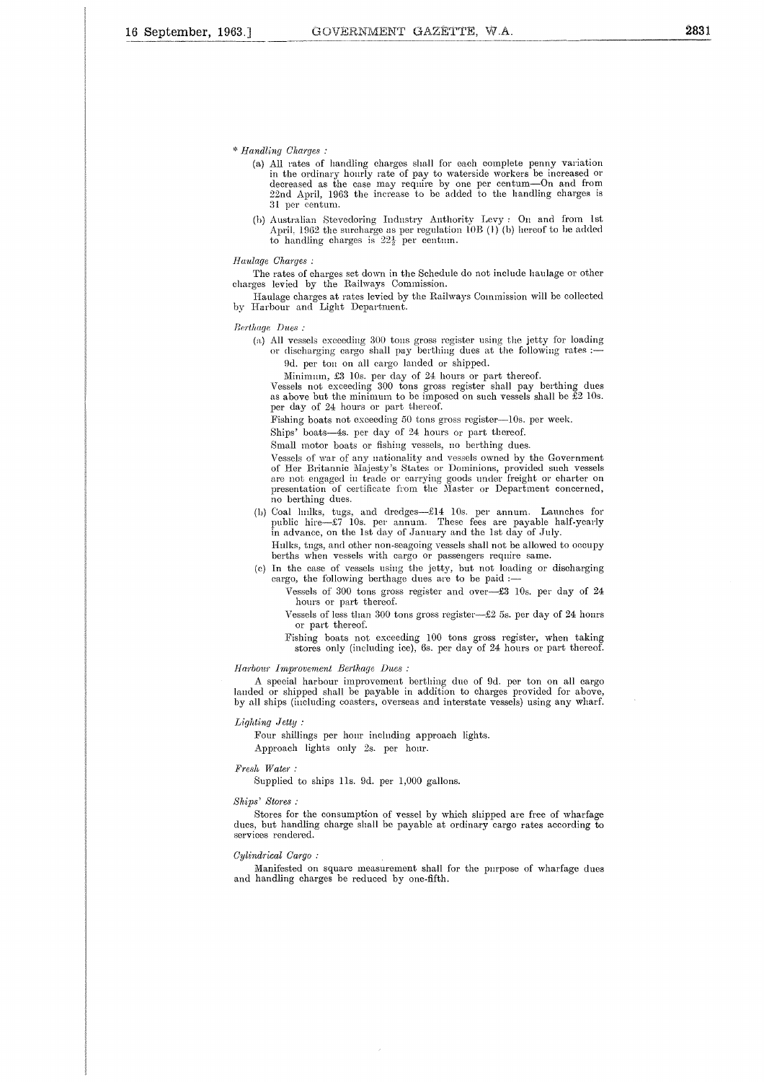*\* Handling Charges :*

- (a) All rates of handling charges shall for each complete penny variation<br>in the ordinary hourly rate of pay to waterside workers be increased or<br>decreased as the case may require by one per centum—On and from<br> $22nd$  April 31 per centum.
- (b) Australian Stevedoring Industry Authority Levy : On and from 1st April, 1962 the surcharge as per regulation 10B (1) (b) hereof to be added<br>to handling charges is 22½ per centum.

*Haulage Charges :*

The rates of charges set down in the Schedule do not include haulage or other charges levied by the Railways Commission.

Haulage charges at rates levied by the Railways Commission will be collected by Harbour and Light Department.

Berthage *Dues :*

(a) All vessels exceeding 300 tons gross register using the jetty for loading or discharging cargo shall pay berthing dues at the following rates :— 9d. per ton on all cargo landed or shipped.

Minimum, £3 10s. per day of 24 hours or part thereof.

Vessels not exceeding 300 tons gross register shall pay berthing dues as above but the minimum to be imposed on such vessels shall be  $E2$  10s. per day of 24 hours or part thereof.

Fishing boats not exceeding 50 tons gross register-10s. per week.

Ships' boats-4s. per day of 24 hours or part thereof.

Small motor boats or fishing vessels, no berthing dues.

Vessels of war of any nationality and vessels owned by the Government of Her Britannic Majesty's States or Dominions, provided such vessels are not engaged in trade or carrying goods under freight or charter on presentation of certificate from the Master or Department concerned, no berthing dues.

(b) Coal hulks, tugs, and dredges—£14 10s. per annum. Launches for public hire—£7 10s. per annum. These fees are payable half-yearly in advance, on the 1st day of January and the 1st day of July.

Hulks, tugs, and other non-seagoing vessels shall not be allowed to occupy berths when vessels with cargo or passengers require same.

(c) In the case of vessels using the jetty, but not loading or discharging cargo, the following berthage dues are to be paid :-

Vessels of 300 tons gross register and over—£3 10s. per day of 24 hours or part thereof.

Vessels of less than 300 tons gross register—£2 5s. per day of 24 hours or part thereof.

Fishing boats not exceeding 100 tons gross register, when taking stores only (including ice), 6s. per day of 24 hours or part thereof.

#### *Harbour Improvement Berthage Dues :*

A special harbour improvement berthing due of 9d. per ton on all cargo landed or shipped shall be payable in addition to charges provided for above, by all ships (including coasters, overseas and interstate vessels) using any wharf.

#### *Lighting Jetty :*

Four shillings per hour including approach lights. Approach lights only 2s. per hour.

#### *Fresh Water :*

Supplied to ships 11s. 9d. per 1,000 gallons.

#### *Ships' Stores :*

Stores for the consumption of vessel by which shipped are free of wharfage dues, but handling charge shall be payable at ordinary cargo rates according to services rendered.

#### *Cylindrical Cargo :*

Manifested on square measurement shall for the purpose of wharfage dues and handling charges be reduced by one-fifth.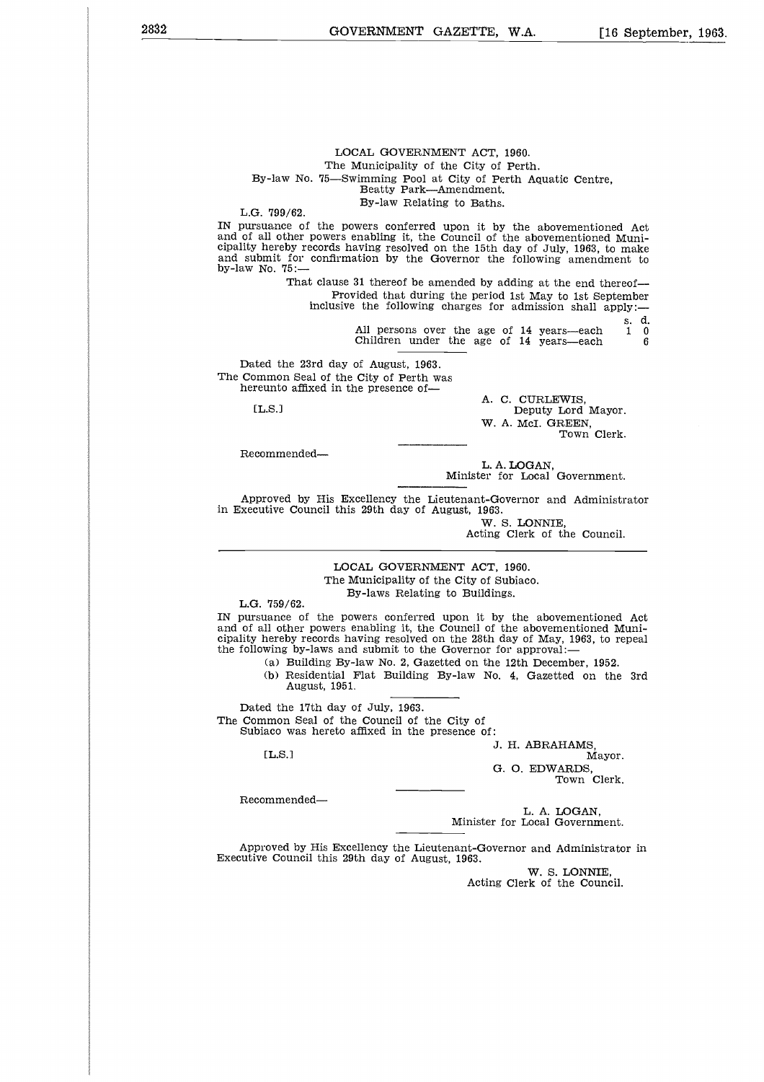GOVERNMENT GAZETTE, W.A. [16 September, 1963.

#### LOCAL GOVERNMENT ACT, 1960. The Municipality of the City of Perth. By-law No. 75—Swimming Pool at City of Perth Aquatic Centre, Beatty Park—Amendment. By-law Relating to Baths.

L.G. 799/62.

IN pursuance of the powers conferred upon it by the abovementioned Act and of all other powers enabling it, the Council of the abovementioned Municipality hereby records having resolved on the 15th day of July, 1963, to make and submit for confirmation by the Governor the following amendment to by-law No. 75: Beatty Park—Amendment.<br>By-law Relating to Baths.<br>By-law Relating to Baths.<br>wers conferred upon it by the abovementioned Act<br>nabling it, the Council of the abovementioned Muni-<br>wing resolved on the 15th day of July, 1963, r heret<br>bmit<br>No. 7<br>Hed the mmore<br>reunto<br>[L.S.]

That clause 31 thereof be amended by adding at the end thereof Provided that during the period 1st May to 1st September inclusive the following charges for admission shall apply:

**s.** d.

Dated the 23rd day of August, 1963. The Common Seal of the City of Perth was hereunto affixed in the presence of

 $TLS.1$ 

Recommended

A. C. CURLEWIS, Deputy Lord Mayor. W. A. McI. GREEN, Town Clerk.

L. A. LOGAN, Minister for Local Government.

Approved by His Excellency the Lieutenant-Governor and Administrator in Executive Council this 29th day of August, 1963.

W. S. LONNIE, Acting Clerk of the Council.

LOCAL GOVERNMENT ACT, 1960. The Municipality of the City of Subiaco. By-laws Relating to Buildings.

L.G. 759/62.

IN pursuance of the powers conferred upon it by the abovementioned Act and of all other powers enabling it, the Council of the abovementioned Municipality hereby records having resolved on the 28th day of May, 1963, to repeal the following by-laws and submit to the Governor for approval: 759/62.<br>
Lance of the powers conferred upon it by the abovementioned<br>
Ill other powers enabling it, the Council of the abovementioned M<br>
nereby records having resolved on the 28th day of May, 1963, to re<br>
wing by-laws and

(a) Building By-law No. 2, Gazetted on the 12th December, 1952.

(b) Residential Flat Building By-law No. 4, Gazetted on the 3rd August, 1951.

Dated the 17th day of July, 1963. The Common Seal of the Council of the City of Subiaco was hereto affixed in the presence of:

J. H. ABRAHAMS, G. 0. EDWARDS, Town Clerk.

Recommended

L. A. LOGAN, Minister for Local Government.

Approved by His Excellency the Lieutenant-Governor and Administrator in Executive Council this 29th day of August, 1963.

> W. S. LONNIE, Acting Clerk of the Council.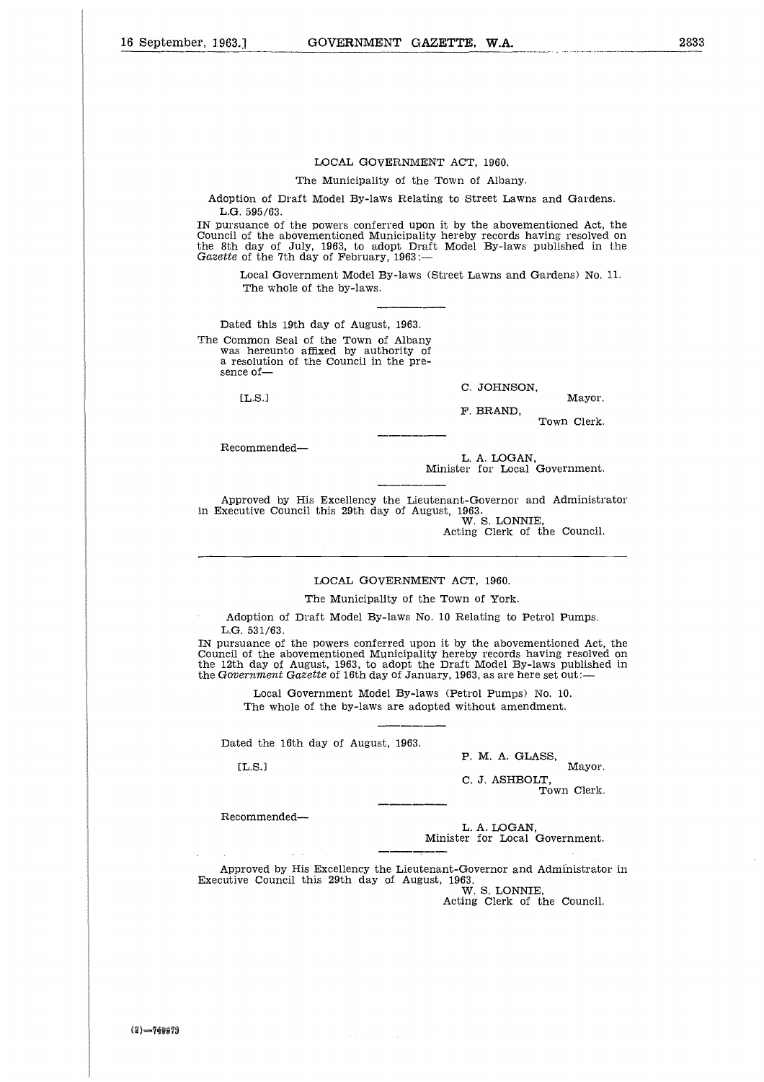#### LOCAL GOVERNMENT ACT, 1960.

The Municipality of the Town of Albany.

Adoption of Draft Model By-laws Relating to Street Lawns and Gardens. L.G. 595/63.

IN pursuance of the powers conferred upon it by the abovementioned Act, the Council of the abovementioned Municipality hereby records having resolved on the 8th day of July, 1963, to adopt Draft Model By-laws published in the *Gazette* of the 7th day of February, 1963:

Local Government Model By-laws (Street Lawns and Gardens) No. 11. The whole of the by-laws.

Dated this 19th day of August, 1963. The Common Seal of the Town of Albany was hereunto affixed by authority of a resolution of the Council in the presence of day of July, 1963, to adopt Draft Model By-laws published in<br>
day of July, 1963, to adopt Draft Model By-laws published in<br>
of the 7th day of February, 1963:—<br>
Local Government Model By-laws (Street Lawns and Gardens) No.<br>

C. JOHNSON,

F. BRAND, Town Clerk.

Recommended

L. A. LOGAN, Minister for Local Government.

Approved by His Excellency the Lieutenant-Governor and Administrator in Executive Council this 29th day of August, 1963. W. S. LONNIE,

Acting Clerk of the Council.

#### LOCAL GOVERNMENT ACT, 1960.

The Municipality of the Town of York.

Adoption of Draft Model By-laws No. 10 Relating to Petrol Pumps. L.G. 531/63.

IN pursuance of the powers conferred upon it by the abovementioned Act, the Council of the abovementioned Municipality hereby records having resolved on the 12th day of August, 1963, to adopt the Draft Model By-laws published in the *Government Gazette* of 16th day of January, 1963, as are here set out: Notion of Draft Model By-laws No. 10 Relating to Petrol Pumps.<br>
E 531/63.<br>
uance of the powers conferred upon it by the abovementioned Act,<br>
of the abovementioned Municipality hereby records having resolved<br>
of August, 196

Local Government Model By-laws (Petrol Pumps) No. 10. The whole of the by-laws are adopted without amendment.

Dated the 16th day of August, 1963.

P. M. A. GLASS,

C. J. ASHBOLT, Town Clerk.

Recommended

L. A. LOGAN, Minister for Local Government.

Approved by His Excellency the Lieutenant-Governor and Administrator in Executive Council this 29th day of August, 1963. W. S. LONNIE,

Acting Clerk of the Council.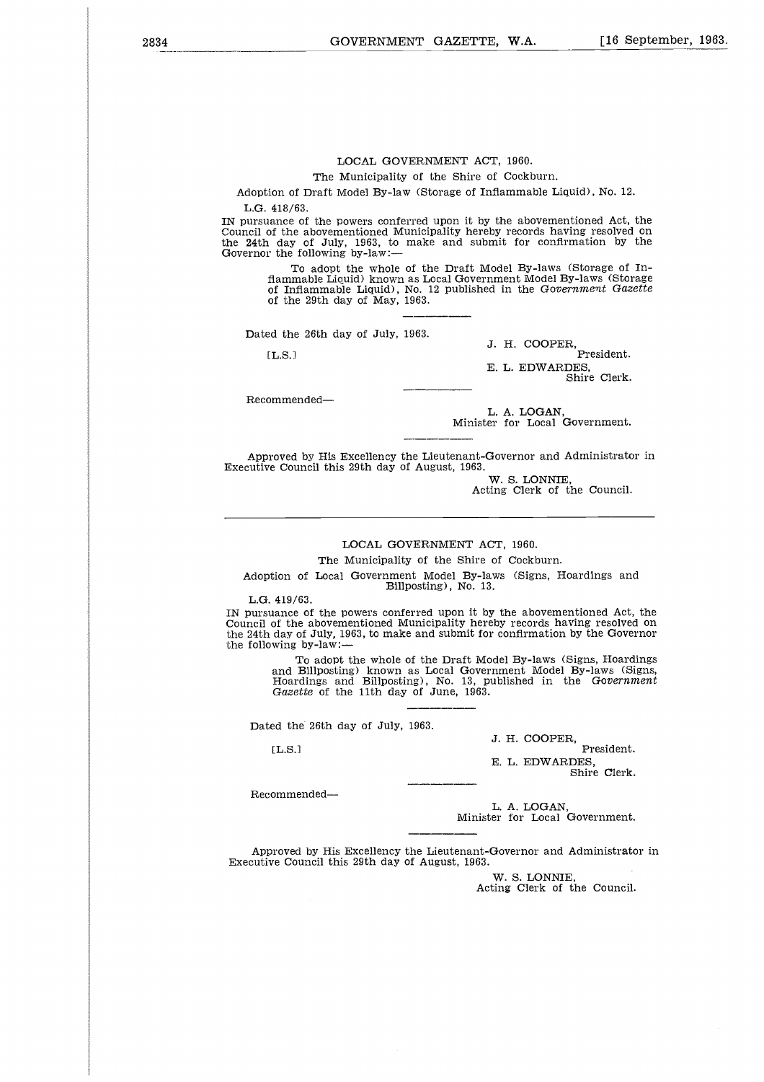#### LOCAL GOVERNMENT ACT, 1960.

The Municipality of the Shire of Cockburn.

Adoption of Draft Model By-law (Storage of Inflammable Liquid), No. 12. L.G. 418/63.

IN pursuance of the powers conferred upon it by the abovementioned Act, the Council of the abovementioned Municipality hereby records having resolved on the 24th day of July, 1963, to make and submit for confirmation by the Governor the following by-law:

To adopt the whole of the Draft Model By-laws (Storage of Inflammable Liquid) known as Local Government Model By-laws (Storage of Inflammable Liquid), No. 12 published in the *Government Gazette* of the 29th day of May, 1963.

Dated the 26th day of July, 1963.

J. H. COOPER,

EL.S.l President.

E. L. EDWARDES, Shire Clerk.

Recommended

L. A. LOGAN, Minister for Local Government.

Approved by His Excellency the Lieutenant-Governor and Administrator in Executive Council this 29th day of August, 1963.

W. S. LONNIE, Acting Clerk of the Council.

#### LOCAL GOVERNMENT ACT, 1960.

The Municipality of the Shire of Cockburn.

Adoption of Local Government Model By-laws (Signs, Hoardings and Billposting), No. 13.

L.G. 419/63.

IN pursuance of the powers conferred upon it by the abovementioned Act, the Council of the abovementioned Municipality hereby records having resolved on the 24th day of July, 1963, to make and submit for confirmation by the Governor the following by-law:

To adopt the whole of the Draft Model By-laws (Signs, Hoardings and Billposting) known as Local Government Model By-laws (Signs, Hoardings and Billposting), No. 13, published in the *Government Gazette* of the 11th day of June, 1963.  $\frac{419}{6}$ <br>
(ance of the day of mand 1<br>  $\frac{1}{6}$ <br>  $\frac{1}{6}$ <br>  $\frac{1}{6}$ <br>  $\frac{1}{6}$ <br>  $\frac{1}{6}$ <br>  $\frac{1}{6}$ <br>  $\frac{1}{6}$ <br>  $\frac{1}{6}$ <br>  $\frac{1}{6}$ <br>  $\frac{1}{6}$ <br>  $\frac{1}{6}$ <br>  $\frac{1}{6}$ <br>  $\frac{1}{6}$ <br>  $\frac{1}{6}$ <br>  $\frac{1}{6}$ <br>  $\frac{1}{6}$ <br>  $\frac{$ 

Dated the 26th day of July, 1963.

 $[**L.S.**]$ 

J. H. COOPER,

President. E. L. EDWARDES,

Shire Clerk.

Recommended

L. A. LOGAN, Minister for Local Government.

Approved by His Excellency the Lieutenant-Governor and Administrator in Executive Council this 29th day of August, 1963.

> W. S. LONNIE, Acting Clerk of the Council.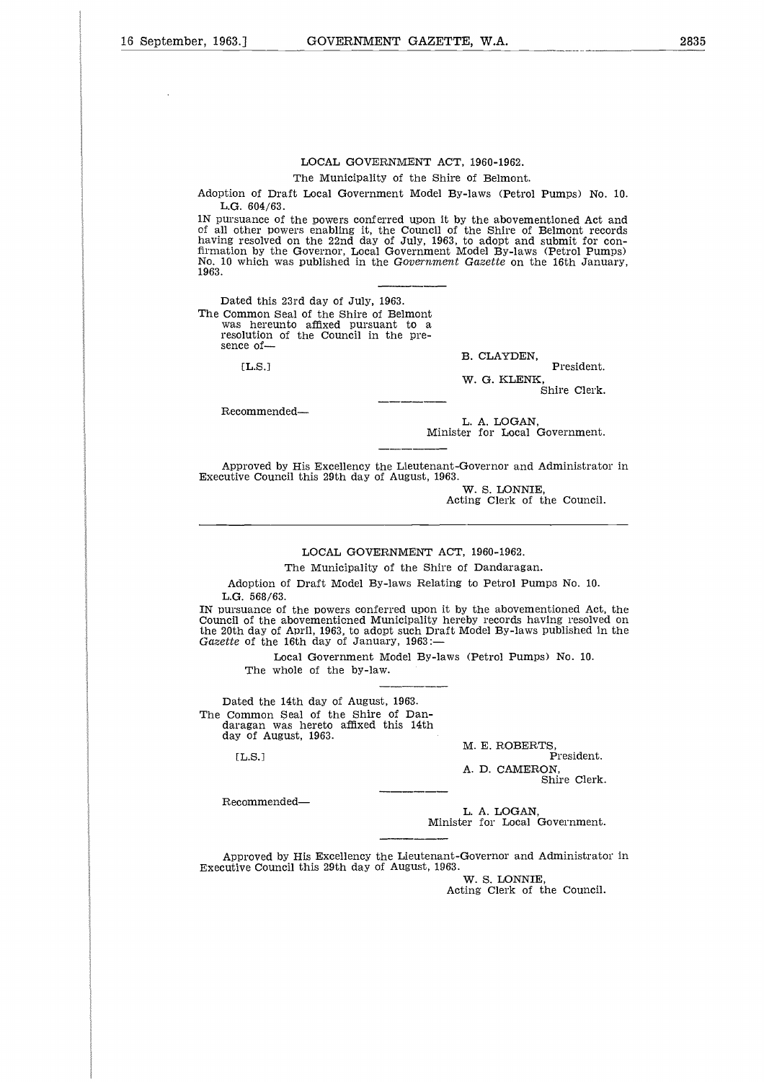#### LOCAL GOVERNMENT ACT, 1960-1962.

#### The Municipality of the Shire of Belmont.

Adoption of Draft Local Government Model By-laws (Petrol Pumps) No. 10. L.G. 604/63.

1N pursuance of the powers conferred upon it by the abovementioned Act and of all other powers enabling it, the Council of the Shire of Belmont records having resolved on the 22nd day of July, 1963, to adopt and submit for confirmation by the Governor, Local Government Model By-laws (Petrol Pumps) No. 10 which was published in the *Government Gazette* on the 16th January, 1963.  $\begin{array}{c} 6 \ 1 \ \hline 1 \ \hline 1 \ \hline 2 \ \hline 1 \ \hline 1 \end{array}$ 

Dated this 23rd day of July, 1963. The Common Seal of the Shire of Belmont was hereunto affixed pursuant to a

resolution of the Council in the presence of-

 $[**L.S.**]$ 

B. CLAYDEN,

President. W. G. KLENK,

Shire Clerk.

Recommended-

L. A. LOGAN, Minister for Local Government.

Approved by His Excellency the Lieutenant-Governor and Administrator in Executive Council this 29th day of August, 1963.

> W. S. LONNIE Acting Clerk of the Council.

LOCAL GOVERNMENT ACT, 1960-1962.

The Municipality of the Shire of Dandaragan.

Adoption of Draft Model By-laws Relating to Petrol Pumps No. 10. L.G. 568/63.

IN pursuance of the powers conferred upon it by the abovementioned Act, the Council of the abovementicned Municipality hereby records having resolved on the 20th day of April, 1963, to adopt such Draft Model By-laws published in the *Gazette* of the 16th day of January, 1963:

Local Government Model By-laws (Petrol Pumps) No. 10. The whole of the by-law.

Dated the 14th day of August, 1963. The Common Seal of the Shire of Dandaragan was hereto affixed this 14th day of August, 1963. 3, 3 th 7 让 . b . b . n . A

L.S.]

M. E. ROBERTS, President. A. D. CAMERON, Shire Clerk.

Recommended

L. A. LOGAN, Minister for Local Government.

Approved by His Excellency the Lieutenant-Governor and Administrator in Executive Council this 29th day of August, 1963.

W. S. LONNIE Acting Clerk of the Council.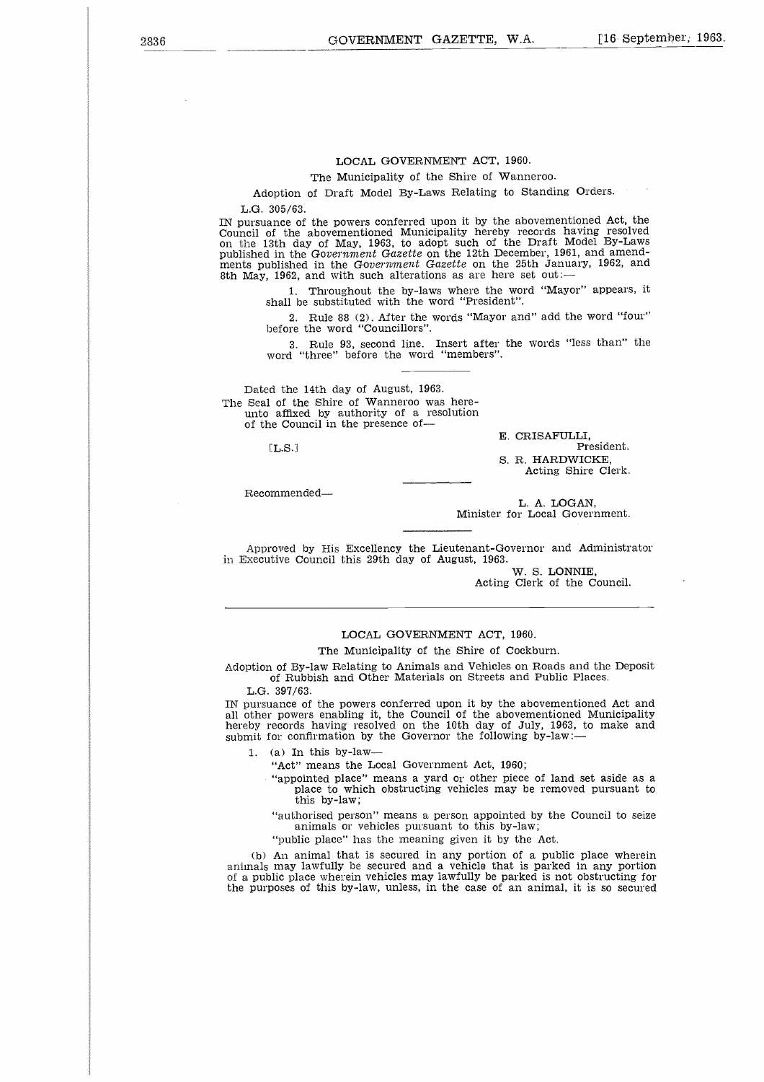#### LOCAL GOVERNMENT ACT, 1960.

The Municipality of the Shire of Wanneroo.

Adoption of Draft Model By-Laws Relating to Standing Orders. L.G. 305/63.

IN pursuance of the powers conferred upon it by the abovementioned Act, the Council of the abovementioned Municipality hereby records having resolved on the 13th day of May, 1963, to adopt such of the Draft Model By-Laws published in the *Government Gazette* on the 12th December, 1961, and amend-ments published in the *Government Gazette* on the 25th January, 1962, and 8th May, 1962, and with such alterations as are here set out:-

1. Throughout the by-laws where the word "Mayor" appears, it shall be substituted with the word "President".

2. Rule 88 (2). After the words "Mayor and" add the word "four" before the word "Councillors".

3. Rule 93, second line. Insert after the words "less than" the word "three" before the word "members".

Dated the 14th day of August, 1963. The Seal of the Shire of Wanneroo was hereunto affixed by authority of a resolution of the Council in the presence of-, b<br>h<br>c<br>i

[L.S.]

Recommended

E. CRISAFULLI, President. S. R. HARDWICKE, Acting Shire Clerk.

L. A. LOGAN. Minister for Local Government.

Approved by His Excellency the Lieutenant-Governor and Administrator in Executive Council this 29th day of August, 1963.

W. S. LONNIE, Acting Clerk of the Council.

#### LOCAL GOVERNMENT ACT, 1960.

The Municipality of the Shire of Cockburn.

Adoption of By-law Relating to Animals and Vehicles on Roads and the Deposit of Rubbish and Other Materials on Streets and Public Places.

L.G. 397/63.

IN pursuance of the powers conferred upon it by the abovementioned Act and all other powers enabling it, the Council of the abovementioned Municipality hereby records having resolved on the 10th day of July, 1963, to make and submit for confirmation by the Governor the following by-law:-

1. (a) In this by-law

"Act" means the Local Government Act, 1960;

"appointed place" means a yard or other piece of land set aside as a place to which obstructing vehicles may be removed pursuant to this by-law;

"authorised person" means a person appointed by the Council to seize animals or vehicles pursuant to this by-law;

"public place" has the meaning given it by the Act.

(b) An animal that is secured in any portion of a public place wherein animals may lawfully be secured and a vehicle that is parked in any portion of a public place wherein vehicles may lawfully be parked is not obstructing for the purposes of this by-law, unless, in the case of an animal, it is so secured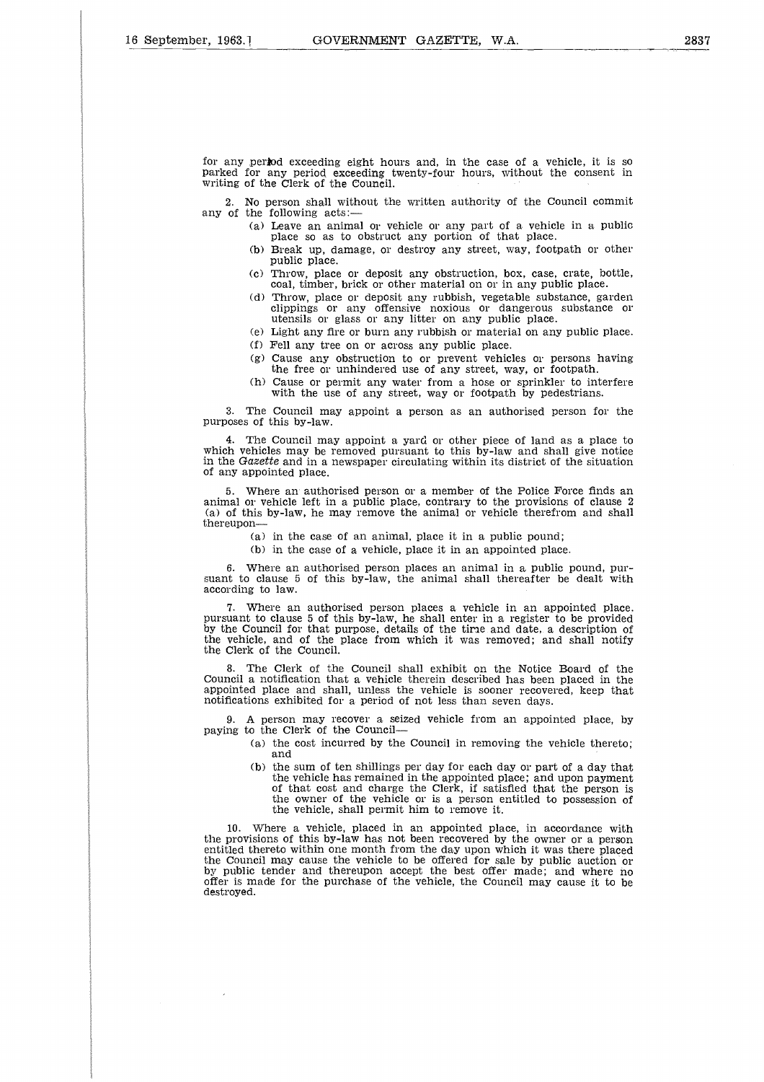for any period exceeding eight hours and, in the case of a vehicle, it is so parked for any period exceeding twenty-four hours, without the consent in writing of the Clerk of the Council.

2. No person shall without the written authority of the Council commit any of the following acts:

- (a) Leave an animal or vehicle or any part of a vehicle in a public place so as to obstruct any portion of that place.
- (b) Break up, damage, or destroy any street, way, footpath or other public place.
- (c) Throw, place or deposit any obstruction, box, case, crate, bottle, coal, timber, brick or other material on or in any public place.
- (d) Throw, place or deposit any rubbish, vegetable substance, garden clippings or any offensive noxious or dangerous substance or utensils or glass or any litter on any public place.
- (e) Light any fire or burn any rubbish or material on any public place.
- (f) Fell any tree on or across any public place.
- (g) Cause any obstruction to or prevent vehicles or persons having the free or unhindered use of any street, way, or footpath.
- (h) Cause or permit any water from a hose or sprinkler to interfere with the use of any street, way or footpath by pedestrians.

3. The Council may appoint a person as an authorised person for the purposes of this by-law.

4. The Council may appoint a yard or other piece of land as a place to which vehicles may be removed pursuant to this by-law and shall give notice in the *Gazette* and in a newspaper circulating within its district of the situation of any appointed place.

Where an authorised person or a member of the Police Force finds an animal or vehicle left in a public place, contrary to the provisions of clause 2 (a) of this by-law, he may remove the animal or vehicle therefrom and shall thereupon

(a) in the case of an animal, place it in a public pound;

(b) in the case of a vehicle, place it in an appointed place.

6. Where an authorised person places an animal in a public pound, pursuant to clause 5 of this by-law, the animal shall thereafter be dealt with according to law.

7. Where an authorised person places a vehicle in an appointed place, pursuant to clause 5 of this by-law, he shall enter in a register to be provided by the Council for that purpose, details of the time and date, a description of the vehicle, and of the place from which it was removed; and shall notify the Clerk of the Council.

8. The Clerk of the Council shall exhibit on the Notice Board of the Council a notification that a vehicle therein described has been placed in the appointed place and shall, unless the vehicle is sooner recovered, keep that notifications exhibited for a period of not less than seven days.

9. A person may recover a seized vehicle from an appointed place, by paying to the Clerk of the Council

- (a) the cost incurred by the Council in removing the vehicle thereto; and
- (b) the sum of ten shillings per day for each day or part of a day that the vehicle has remained in the appointed place; and upon payment of that cost and charge the Clerk, if satisfied that the person is the owner of the vehicle or is a person entitled to possession of the vehicle, shall permit him to remove it.

10. Where a vehicle, placed in an appointed place, in accordance with the provisions of this by-law has not been recovered by the owner or a person entitled thereto within one month from the day upon which it was there placed the Council may cause the vehicle to be offered for sale by public auction or by public tender and thereupon accept the best offer made; and where no offer is made for the purchase of the vehicle, the Council may cause it to be destroyed.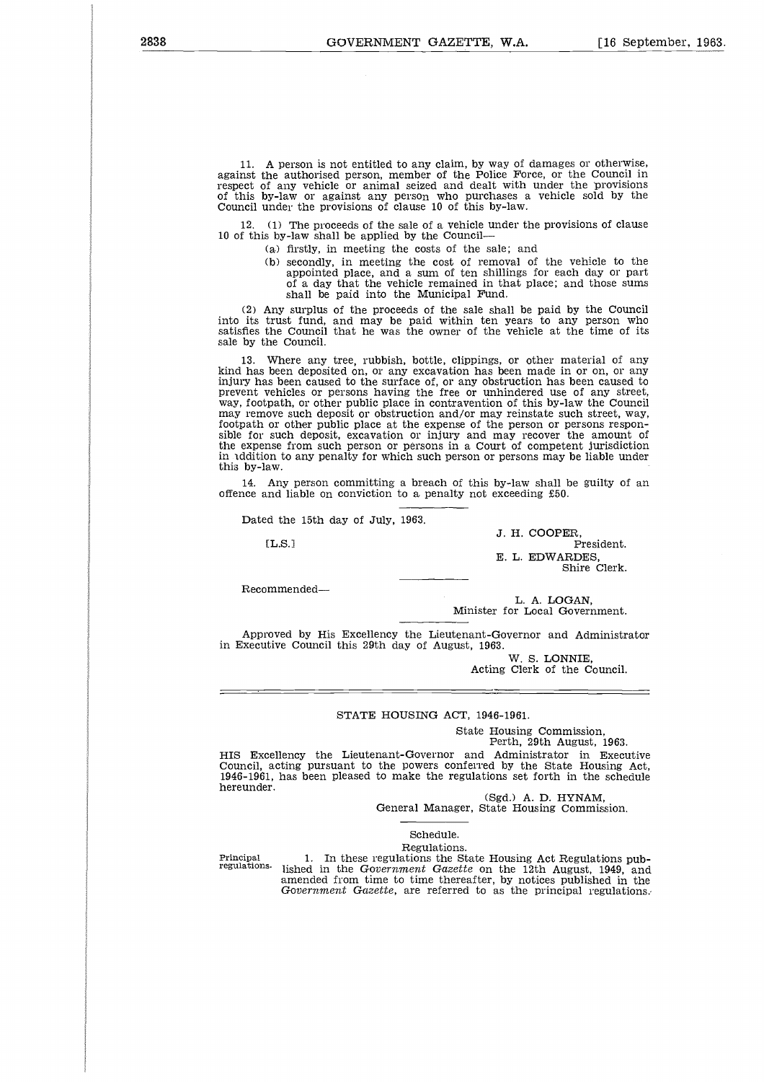11. A person is not entitled to any claim, by way of damages or otherwise, against the authorised person, member of the Police Force, or the Council in respect of any vehicle or animal seized and dealt with under the provisions of this by-law or against any person who purchases a vehicle sold by the Council under the provisions of clause 10 of this by-law.

12. (1) The proceeds of the sale of a vehicle under the provisions of clause 10 of this by-law shall be applied by the Council

(a) firstly, in meeting the costs of the sale; and

(b) secondly, in meeting the cost of removal of the vehicle to the appointed place, and a sum of ten shillings for each day or part of a day that the vehicle remained in that place; and those sums shall be paid into the Municipal Fund.

(2) Any surplus of the proceeds of the sale shall be paid by the Council into its trust fund, and may be paid within ten years to any person who satisfies the Council that he was the owner of the vehicle at the time of its sale by the Council.

13. Where any tree, rubbish, bottle, clippings, or other material of any kind has been deposited on, or any excavation has been made in or on, or any injury has been caused to the surface of, or any obstruction has been caused to prevent vehicles or persons having the free or unhindered use of any street, way, footpath, or other public place in contravention of this by-law the Council may remove such deposit or obstruction and/or may reinstate such street, way, footpath or other public place at the expense of the person or persons responsible for such deposit, excavation or injury and may recover the amount of the expense from such person or persons in a Court of competent jurisdiction in addition to any penalty for which such person or persons may be liable under this by-law. ne uk ca<br>pa<br>pa

14. Any person committing a breach of this by-law shall be guilty of an offence and liable on conviction to a penalty not exceeding £50.

Dated the 15th day of July, 1963.

1L.S.1

Recommended

J. H. COOPER, President. E. L. EDWARDES, Shire Clerk.

L. A. LOGAN, Minister for Local Government.

Approved by His Excellency the Lieutenant-Governor and Administrator in Executive Council this 29th day of August, 1963.

W. S. LONNIE, Acting Clerk of the Council.

#### STATE HOUSING ACT, 1946-1961.

State Housing Commission,

Perth, 29th August, 1963.

HIS Excellency the Lieutenant-Governor and Administrator in Executive Council, acting pursuant to the powers conferred by the State Housing Act, 1946-1961, has been pleased to make the regulations set forth in the schedule hereunder.

(Sgd.) A. D. HYNAM, General Manager, State Housing Commission.

#### Schedule. Regulations.

Principal regulations.

1. In these regulations the State Housing Act Regulations published in the *Government Gazette* on the 12th August, 1949, and amended from time to time thereafter, by notices published in the *Government Gazette,* are referred to as the principal regulations.